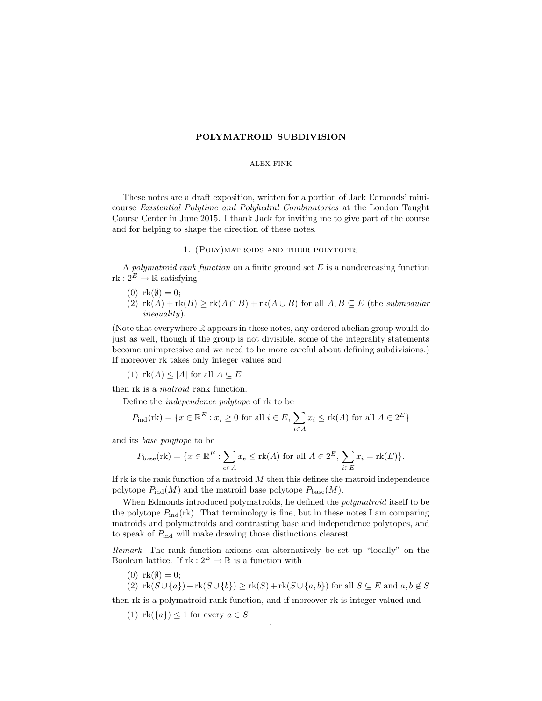## POLYMATROID SUBDIVISION

### ALEX FINK

These notes are a draft exposition, written for a portion of Jack Edmonds' minicourse Existential Polytime and Polyhedral Combinatorics at the London Taught Course Center in June 2015. I thank Jack for inviting me to give part of the course and for helping to shape the direction of these notes.

## 1. (Poly)matroids and their polytopes

A polymatroid rank function on a finite ground set  $E$  is a nondecreasing function  $rk: 2^E \to \mathbb{R}$  satisfying

- $(0)$  rk $(\emptyset) = 0;$
- (2)  $\text{rk}(A) + \text{rk}(B) > \text{rk}(A \cap B) + \text{rk}(A \cup B)$  for all  $A, B \subseteq E$  (the submodular inequality).

(Note that everywhere R appears in these notes, any ordered abelian group would do just as well, though if the group is not divisible, some of the integrality statements become unimpressive and we need to be more careful about defining subdivisions.) If moreover rk takes only integer values and

(1)  $rk(A) \leq |A|$  for all  $A \subseteq E$ 

then rk is a *matroid* rank function.

Define the independence polytope of rk to be

$$
P_{\text{ind}}(\text{rk}) = \{ x \in \mathbb{R}^E : x_i \ge 0 \text{ for all } i \in E, \sum_{i \in A} x_i \le \text{rk}(A) \text{ for all } A \in 2^E \}
$$

and its base polytope to be

$$
P_{\text{base}}(\text{rk}) = \{ x \in \mathbb{R}^E : \sum_{e \in A} x_e \le \text{rk}(A) \text{ for all } A \in 2^E, \sum_{i \in E} x_i = \text{rk}(E) \}.
$$

If rk is the rank function of a matroid  $M$  then this defines the matroid independence polytope  $P_{\text{ind}}(M)$  and the matroid base polytope  $P_{\text{base}}(M)$ .

When Edmonds introduced polymatroids, he defined the *polymatroid* itself to be the polytope  $P_{\text{ind}}(\text{rk})$ . That terminology is fine, but in these notes I am comparing matroids and polymatroids and contrasting base and independence polytopes, and to speak of  $P_{\text{ind}}$  will make drawing those distinctions clearest.

Remark. The rank function axioms can alternatively be set up "locally" on the Boolean lattice. If  $\text{rk}: 2^E \to \mathbb{R}$  is a function with

- (0)  $rk(\emptyset) = 0;$
- (2)  $\text{rk}(S \cup \{a\}) + \text{rk}(S \cup \{b\}) \geq \text{rk}(S) + \text{rk}(S \cup \{a, b\})$  for all  $S \subseteq E$  and  $a, b \notin S$

then rk is a polymatroid rank function, and if moreover rk is integer-valued and

(1)  $rk({a}) \leq 1$  for every  $a \in S$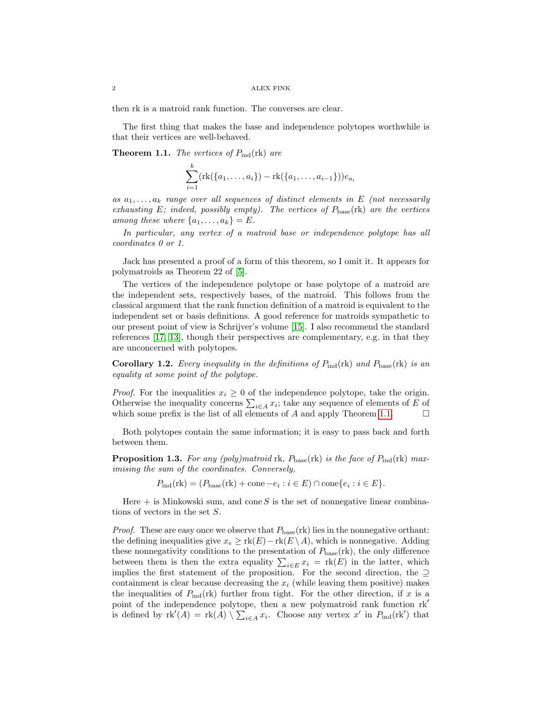then rk is a matroid rank function. The converses are clear.

The first thing that makes the base and independence polytopes worthwhile is that their vertices are well-behaved.

<span id="page-1-0"></span>**Theorem 1.1.** The vertices of  $P_{\text{ind}}(\text{rk})$  are

$$
\sum_{i=1}^{k} (\text{rk}(\{a_1,\ldots,a_i\}) - \text{rk}(\{a_1,\ldots,a_{i-1}\}))e_{a_i}
$$

as  $a_1, \ldots, a_k$  range over all sequences of distinct elements in E (not necessarily exhausting E; indeed, possibly empty). The vertices of  $P_{base}(\text{rk})$  are the vertices among these where  $\{a_1, \ldots, a_k\} = E$ .

In particular, any vertex of a matroid base or independence polytope has all coordinates 0 or 1.

Jack has presented a proof of a form of this theorem, so I omit it. It appears for polymatroids as Theorem 22 of [\[5\]](#page-25-0).

The vertices of the independence polytope or base polytope of a matroid are the independent sets, respectively bases, of the matroid. This follows from the classical argument that the rank function definition of a matroid is equivalent to the independent set or basis definitions. A good reference for matroids sympathetic to our present point of view is Schrijver's volume [\[15\]](#page-26-0). I also recommend the standard references [\[17,](#page-26-1) [13\]](#page-26-2), though their perspectives are complementary, e.g. in that they are unconcerned with polytopes.

<span id="page-1-1"></span>**Corollary 1.2.** Every inequality in the definitions of  $P_{ind}(rk)$  and  $P_{base}(rk)$  is an equality at some point of the polytope.

*Proof.* For the inequalities  $x_i \geq 0$  of the independence polytope, take the origin. Otherwise the inequality concerns  $\sum_{i\in A} x_i$ ; take any sequence of elements of E of which some prefix is the list of all elements of  $A$  and apply Theorem [1.1.](#page-1-0)  $\Box$ 

Both polytopes contain the same information; it is easy to pass back and forth between them.

<span id="page-1-2"></span>**Proposition 1.3.** For any (poly)matroid rk,  $P_{\text{base}}(\text{rk})$  is the face of  $P_{\text{ind}}(\text{rk})$  maximising the sum of the coordinates. Conversely,

 $P_{\text{ind}}(\text{rk}) = (P_{\text{base}}(\text{rk}) + \text{cone} - e_i : i \in E) \cap \text{cone}\{e_i : i \in E\}.$ 

Here  $+$  is Minkowski sum, and cone S is the set of nonnegative linear combinations of vectors in the set S.

*Proof.* These are easy once we observe that  $P_{base}$  (rk) lies in the nonnegative orthant: the defining inequalities give  $x_e \geq \text{rk}(E) - \text{rk}(E \setminus A)$ , which is nonnegative. Adding these nonnegativity conditions to the presentation of  $P_{\text{base}}(\text{rk})$ , the only difference between them is then the extra equality  $\sum_{i\in E} x_i = \text{rk}(E)$  in the latter, which implies the first statement of the proposition. For the second direction, the ⊇ containment is clear because decreasing the  $x_i$  (while leaving them positive) makes the inequalities of  $P_{\text{ind}}(\text{rk})$  further from tight. For the other direction, if x is a point of the independence polytope, then a new polymatroid rank function  $rk'$ is defined by  $\text{rk}'(A) = \text{rk}(A) \setminus \sum_{i \in A} x_i$ . Choose any vertex x' in  $P_{\text{ind}}(\text{rk}')$  that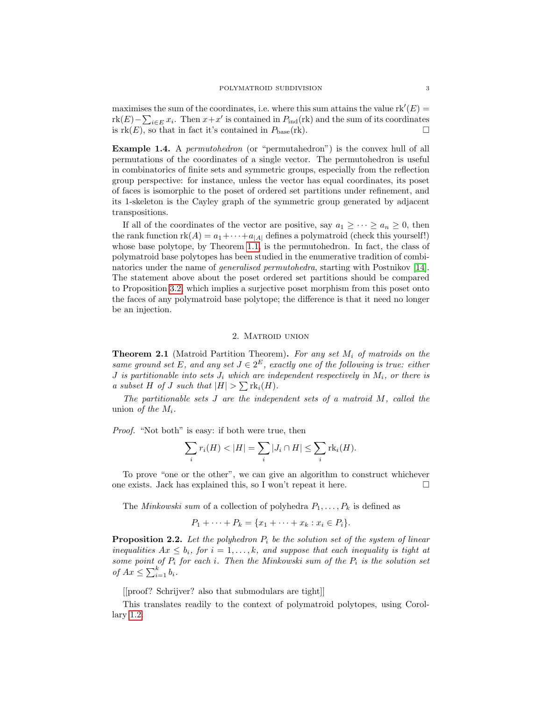maximises the sum of the coordinates, i.e. where this sum attains the value  $rk'(E)$ rk $(E) - \sum_{i \in E} x_i$ . Then  $x + x'$  is contained in  $P_{\text{ind}}(\text{rk})$  and the sum of its coordinates is  $rk(E)$ , so that in fact it's contained in  $P_{base}(rk)$ .

**Example 1.4.** A *permutohedron* (or "permutahedron") is the convex hull of all permutations of the coordinates of a single vector. The permutohedron is useful in combinatorics of finite sets and symmetric groups, especially from the reflection group perspective: for instance, unless the vector has equal coordinates, its poset of faces is isomorphic to the poset of ordered set partitions under refinement, and its 1-skeleton is the Cayley graph of the symmetric group generated by adjacent transpositions.

If all of the coordinates of the vector are positive, say  $a_1 \geq \cdots \geq a_n \geq 0$ , then the rank function  $rk(A) = a_1 + \cdots + a_{|A|}$  defines a polymatroid (check this yourself!) whose base polytope, by Theorem [1.1,](#page-1-0) is the permutohedron. In fact, the class of polymatroid base polytopes has been studied in the enumerative tradition of combinatorics under the name of generalised permutohedra, starting with Postnikov [\[14\]](#page-26-3). The statement above about the poset ordered set partitions should be compared to Proposition [3.2,](#page-5-0) which implies a surjective poset morphism from this poset onto the faces of any polymatroid base polytope; the difference is that it need no longer be an injection.

## 2. Matroid union

<span id="page-2-0"></span>**Theorem 2.1** (Matroid Partition Theorem). For any set  $M_i$  of matroids on the same ground set E, and any set  $J \in 2^E$ , exactly one of the following is true: either J is partitionable into sets  $J_i$  which are independent respectively in  $M_i$ , or there is a subset H of J such that  $|H| > \sum \text{rk}_i(H)$ .

The partitionable sets  $J$  are the independent sets of a matroid  $M$ , called the union of the  $M_i$ .

Proof. "Not both" is easy: if both were true, then

$$
\sum_{i} r_i(H) < |H| = \sum_{i} |J_i \cap H| \le \sum_{i} \text{rk}_i(H).
$$

To prove "one or the other", we can give an algorithm to construct whichever one exists. Jack has explained this, so I won't repeat it here.  $\Box$ 

The *Minkowski sum* of a collection of polyhedra  $P_1, \ldots, P_k$  is defined as

$$
P_1 + \cdots + P_k = \{x_1 + \cdots + x_k : x_i \in P_i\}.
$$

**Proposition 2.2.** Let the polyhedron  $P_i$  be the solution set of the system of linear inequalities  $Ax \leq b_i$ , for  $i = 1, ..., k$ , and suppose that each inequality is tight at some point of  $P_i$  for each i. Then the Minkowski sum of the  $P_i$  is the solution set of  $Ax \leq \sum_{i=1}^{k} b_i$ .

[[proof? Schrijver? also that submodulars are tight]]

<span id="page-2-1"></span>This translates readily to the context of polymatroid polytopes, using Corollary [1.2.](#page-1-1)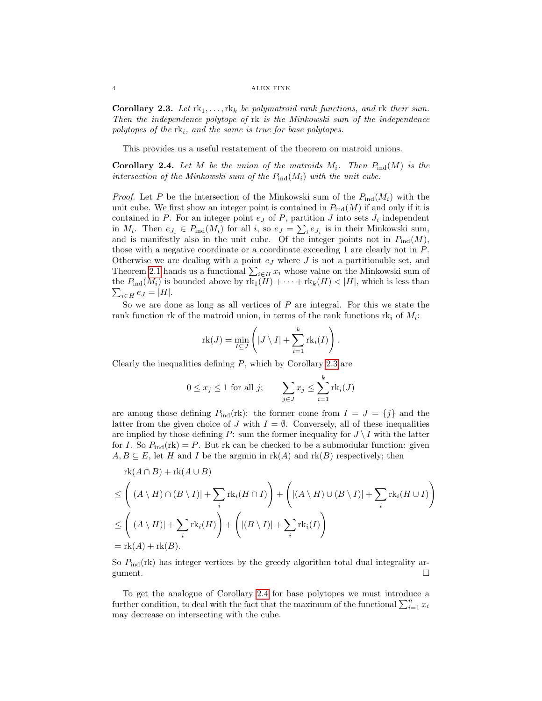**Corollary 2.3.** Let  $rk_1, \ldots, rk_k$  be polymatroid rank functions, and rk their sum. Then the independence polytope of rk is the Minkowski sum of the independence polytopes of the  $rk_i$ , and the same is true for base polytopes.

This provides us a useful restatement of the theorem on matroid unions.

<span id="page-3-0"></span>**Corollary 2.4.** Let M be the union of the matroids  $M_i$ . Then  $P_{ind}(M)$  is the intersection of the Minkowski sum of the  $P_{ind}(M_i)$  with the unit cube.

*Proof.* Let P be the intersection of the Minkowski sum of the  $P_{\text{ind}}(M_i)$  with the unit cube. We first show an integer point is contained in  $P_{\text{ind}}(M)$  if and only if it is contained in  $P$ . For an integer point  $e_J$  of  $P$ , partition  $J$  into sets  $J_i$  independent in  $M_i$ . Then  $e_{J_i} \in P_{\text{ind}}(M_i)$  for all  $i$ , so  $e_J = \sum_i e_{J_i}$  is in their Minkowski sum, and is manifestly also in the unit cube. Of the integer points not in  $P_{\text{ind}}(M)$ , those with a negative coordinate or a coordinate exceeding 1 are clearly not in P. Otherwise we are dealing with a point  $e_j$  where  $J$  is not a partitionable set, and Theorem [2.1](#page-2-0) hands us a functional  $\sum_{i\in H} x_i$  whose value on the Minkowski sum of  $\sum_{i\in H}e_{J}=|H|.$ the  $P_{\text{ind}}(M_i)$  is bounded above by  $\text{rk}_1(H) + \cdots + \text{rk}_k(H) < |H|$ , which is less than

So we are done as long as all vertices of  $P$  are integral. For this we state the rank function rk of the matroid union, in terms of the rank functions  $rk_i$  of  $M_i$ :

$$
\mathrm{rk}(J) = \min_{I \subseteq J} \left( |J \setminus I| + \sum_{i=1}^{k} \mathrm{rk}_i(I) \right).
$$

Clearly the inequalities defining  $P$ , which by Corollary [2.3](#page-2-1) are

$$
0 \le x_j \le 1
$$
 for all j; 
$$
\sum_{j \in J} x_j \le \sum_{i=1}^k \text{rk}_i(J)
$$

are among those defining  $P_{\text{ind}}(\text{rk})$ : the former come from  $I = J = \{j\}$  and the latter from the given choice of J with  $I = \emptyset$ . Conversely, all of these inequalities are implied by those defining P: sum the former inequality for  $J \setminus I$  with the latter for I. So  $P_{\text{ind}}(\text{rk}) = P$ . But rk can be checked to be a submodular function: given  $A, B \subseteq E$ , let H and I be the argmin in  $rk(A)$  and  $rk(B)$  respectively; then

$$
\mathrm{rk}(A \cap B) + \mathrm{rk}(A \cup B)
$$
\n
$$
\leq \left( |(A \setminus H) \cap (B \setminus I)| + \sum_{i} \mathrm{rk}_{i}(H \cap I) \right) + \left( |(A \setminus H) \cup (B \setminus I)| + \sum_{i} \mathrm{rk}_{i}(H \cup I) \right)
$$
\n
$$
\leq \left( |(A \setminus H)| + \sum_{i} \mathrm{rk}_{i}(H) \right) + \left( |(B \setminus I)| + \sum_{i} \mathrm{rk}_{i}(I) \right)
$$
\n
$$
= \mathrm{rk}(A) + \mathrm{rk}(B).
$$

So  $P_{\text{ind}}(\text{rk})$  has integer vertices by the greedy algorithm total dual integrality argument.

<span id="page-3-1"></span>To get the analogue of Corollary [2.4](#page-3-0) for base polytopes we must introduce a further condition, to deal with the fact that the maximum of the functional  $\sum_{i=1}^{n} x_i$ may decrease on intersecting with the cube.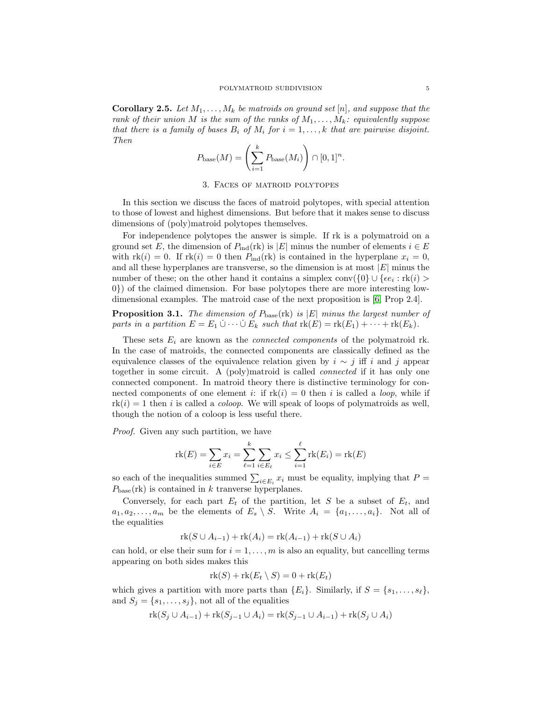**Corollary 2.5.** Let  $M_1, \ldots, M_k$  be matroids on ground set [n], and suppose that the rank of their union M is the sum of the ranks of  $M_1, \ldots, M_k$ : equivalently suppose that there is a family of bases  $B_i$  of  $M_i$  for  $i = 1, \ldots, k$  that are pairwise disjoint. Then

$$
P_{\text{base}}(M) = \left(\sum_{i=1}^{k} P_{\text{base}}(M_i)\right) \cap [0,1]^n.
$$

## 3. Faces of matroid polytopes

In this section we discuss the faces of matroid polytopes, with special attention to those of lowest and highest dimensions. But before that it makes sense to discuss dimensions of (poly)matroid polytopes themselves.

For independence polytopes the answer is simple. If rk is a polymatroid on a ground set E, the dimension of  $P_{\text{ind}}(\text{rk})$  is  $|E|$  minus the number of elements  $i \in E$ with  $rk(i) = 0$ . If  $rk(i) = 0$  then  $P_{ind}(rk)$  is contained in the hyperplane  $x_i = 0$ , and all these hyperplanes are transverse, so the dimension is at most  $|E|$  minus the number of these; on the other hand it contains a simplex  $\text{conv}(\{0\} \cup \{\epsilon e_i : \text{rk}(i) > \epsilon\})$ 0}) of the claimed dimension. For base polytopes there are more interesting lowdimensional examples. The matroid case of the next proposition is [\[6,](#page-25-1) Prop 2.4].

<span id="page-4-0"></span>**Proposition 3.1.** The dimension of  $P_{base}(\text{rk})$  is  $|E|$  minus the largest number of parts in a partition  $E = E_1 \cup \cdots \cup E_k$  such that  $\text{rk}(E) = \text{rk}(E_1) + \cdots + \text{rk}(E_k)$ .

These sets  $E_i$  are known as the *connected components* of the polymatroid rk. In the case of matroids, the connected components are classically defined as the equivalence classes of the equivalence relation given by  $i \sim j$  iff i and j appear together in some circuit. A (poly)matroid is called connected if it has only one connected component. In matroid theory there is distinctive terminology for connected components of one element i: if  $rk(i) = 0$  then i is called a *loop*, while if  $rk(i) = 1$  then i is called a *coloop*. We will speak of loops of polymatroids as well, though the notion of a coloop is less useful there.

Proof. Given any such partition, we have

$$
rk(E) = \sum_{i \in E} x_i = \sum_{\ell=1}^k \sum_{i \in E_{\ell}} x_i \le \sum_{i=1}^{\ell} rk(E_i) = rk(E)
$$

so each of the inequalities summed  $\sum_{i \in E_i} x_i$  must be equality, implying that  $P =$  $P_{\text{base}}(\text{rk})$  is contained in k tranverse hyperplanes.

Conversely, for each part  $E_t$  of the partition, let S be a subset of  $E_t$ , and  $a_1, a_2, \ldots, a_m$  be the elements of  $E_s \setminus S$ . Write  $A_i = \{a_1, \ldots, a_i\}$ . Not all of the equalities

$$
rk(S \cup A_{i-1}) + rk(A_i) = rk(A_{i-1}) + rk(S \cup A_i)
$$

can hold, or else their sum for  $i = 1, \ldots, m$  is also an equality, but cancelling terms appearing on both sides makes this

$$
rk(S) + rk(E_t \setminus S) = 0 + rk(E_t)
$$

which gives a partition with more parts than  ${E_i}$ . Similarly, if  $S = {s_1, \ldots, s_\ell}$ , and  $S_j = \{s_1, \ldots, s_j\}$ , not all of the equalities

$$
rk(S_j \cup A_{i-1}) + rk(S_{j-1} \cup A_i) = rk(S_{j-1} \cup A_{i-1}) + rk(S_j \cup A_i)
$$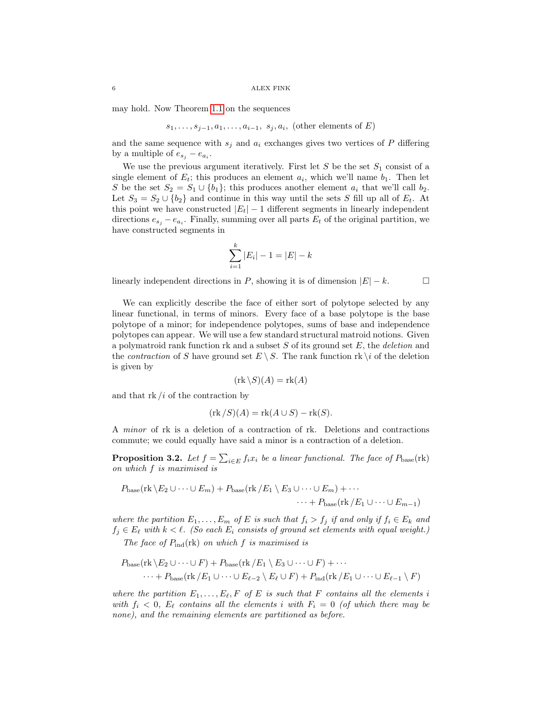may hold. Now Theorem [1.1](#page-1-0) on the sequences

$$
s_1, \ldots, s_{j-1}, a_1, \ldots, a_{i-1}, s_j, a_i
$$
, (other elements of  $E$ )

and the same sequence with  $s_j$  and  $a_i$  exchanges gives two vertices of P differing by a multiple of  $e_{s_j} - e_{a_i}$ .

We use the previous argument iteratively. First let  $S$  be the set  $S_1$  consist of a single element of  $E_t$ ; this produces an element  $a_i$ , which we'll name  $b_1$ . Then let S be the set  $S_2 = S_1 \cup \{b_1\}$ ; this produces another element  $a_i$  that we'll call  $b_2$ . Let  $S_3 = S_2 \cup \{b_2\}$  and continue in this way until the sets S fill up all of  $E_t$ . At this point we have constructed  $|E_t| - 1$  different segments in linearly independent directions  $e_{s_j} - e_{a_i}$ . Finally, summing over all parts  $E_t$  of the original partition, we have constructed segments in

$$
\sum_{i=1}^{k} |E_i| - 1 = |E| - k
$$

linearly independent directions in P, showing it is of dimension  $|E| - k$ .

We can explicitly describe the face of either sort of polytope selected by any linear functional, in terms of minors. Every face of a base polytope is the base polytope of a minor; for independence polytopes, sums of base and independence polytopes can appear. We will use a few standard structural matroid notions. Given a polymatroid rank function rk and a subset  $S$  of its ground set  $E$ , the *deletion* and the *contraction* of S have ground set  $E \setminus S$ . The rank function rk  $\setminus i$  of the deletion is given by

$$
(\text{rk}\,\backslash S)(A) = \text{rk}(A)
$$

and that  $rk/i$  of the contraction by

$$
(\text{rk } /S)(A) = \text{rk}(A \cup S) - \text{rk}(S).
$$

A minor of rk is a deletion of a contraction of rk. Deletions and contractions commute; we could equally have said a minor is a contraction of a deletion.

<span id="page-5-0"></span>**Proposition 3.2.** Let  $f = \sum_{i \in E} f_i x_i$  be a linear functional. The face of  $P_{base}(\text{rk})$ on which f is maximised is

$$
P_{\text{base}}(\text{rk}\setminus E_2\cup\cdots\cup E_m)+P_{\text{base}}(\text{rk}/E_1\setminus E_3\cup\cdots\cup E_m)+\cdots
$$

$$
\cdots+P_{\text{base}}(\text{rk}/E_1\cup\cdots\cup E_{m-1})
$$

where the partition  $E_1, \ldots, E_m$  of E is such that  $f_i > f_j$  if and only if  $f_i \in E_k$  and  $f_j \in E_\ell$  with  $k < \ell$ . (So each  $E_i$  consists of ground set elements with equal weight.)

The face of  $P_{\text{ind}}(\text{rk})$  on which f is maximised is

$$
P_{\text{base}}(\text{rk}\setminus E_2\cup\cdots\cup F) + P_{\text{base}}(\text{rk}/E_1\setminus E_3\cup\cdots\cup F) + \cdots
$$
  

$$
\cdots + P_{\text{base}}(\text{rk}/E_1\cup\cdots\cup E_{\ell-2}\setminus E_\ell\cup F) + P_{\text{ind}}(\text{rk}/E_1\cup\cdots\cup E_{\ell-1}\setminus F)
$$

where the partition  $E_1, \ldots, E_{\ell}, F$  of E is such that F contains all the elements i with  $f_i < 0$ ,  $E_\ell$  contains all the elements i with  $F_i = 0$  (of which there may be none), and the remaining elements are partitioned as before.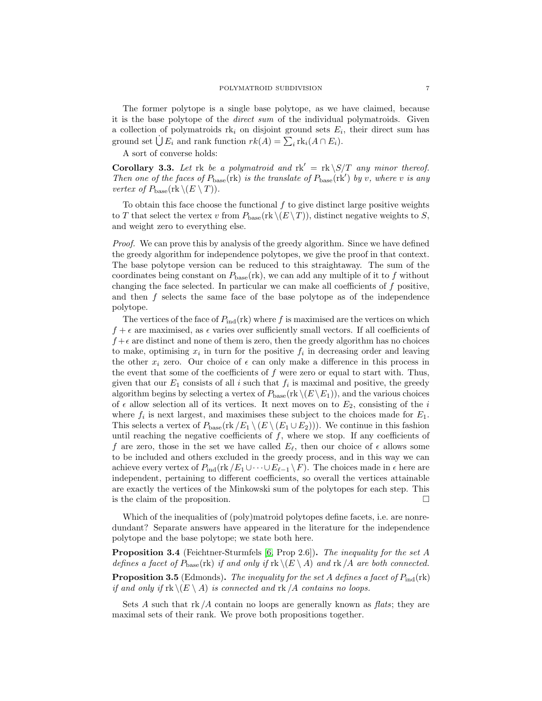The former polytope is a single base polytope, as we have claimed, because it is the base polytope of the direct sum of the individual polymatroids. Given a collection of polymatroids  $rk_i$  on disjoint ground sets  $E_i$ , their direct sum has ground set  $\bigcup E_i$  and rank function  $rk(A) = \sum_i \text{rk}_i(A \cap E_i)$ .

A sort of converse holds:

<span id="page-6-0"></span>**Corollary 3.3.** Let rk be a polymatroid and  $rk' = rk \succeq ST$  any minor thereof. Then one of the faces of  $P_{base}(\text{rk})$  is the translate of  $P_{base}(\text{rk}')$  by v, where v is any vertex of  $P_{\text{base}}(\text{rk } \setminus (E \setminus T)).$ 

To obtain this face choose the functional  $f$  to give distinct large positive weights to T that select the vertex v from  $P_{base}(\text{rk }(\sqrt{E \setminus T}))$ , distinct negative weights to S, and weight zero to everything else.

Proof. We can prove this by analysis of the greedy algorithm. Since we have defined the greedy algorithm for independence polytopes, we give the proof in that context. The base polytope version can be reduced to this straightaway. The sum of the coordinates being constant on  $P_{\text{base}}(rk)$ , we can add any multiple of it to f without changing the face selected. In particular we can make all coefficients of  $f$  positive, and then f selects the same face of the base polytope as of the independence polytope.

The vertices of the face of  $P_{\text{ind}}(rk)$  where f is maximised are the vertices on which  $f + \epsilon$  are maximised, as  $\epsilon$  varies over sufficiently small vectors. If all coefficients of  $f + \epsilon$  are distinct and none of them is zero, then the greedy algorithm has no choices to make, optimising  $x_i$  in turn for the positive  $f_i$  in decreasing order and leaving the other  $x_i$  zero. Our choice of  $\epsilon$  can only make a difference in this process in the event that some of the coefficients of  $f$  were zero or equal to start with. Thus, given that our  $E_1$  consists of all i such that  $f_i$  is maximal and positive, the greedy algorithm begins by selecting a vertex of  $P_{base}(\text{rk } \setminus (E \setminus E_1))$ , and the various choices of  $\epsilon$  allow selection all of its vertices. It next moves on to  $E_2$ , consisting of the i where  $f_i$  is next largest, and maximises these subject to the choices made for  $E_1$ . This selects a vertex of  $P_{\text{base}}(\text{rk}/E_1 \setminus (E_1 \cup E_2))$ . We continue in this fashion until reaching the negative coefficients of  $f$ , where we stop. If any coefficients of f are zero, those in the set we have called  $E_{\ell}$ , then our choice of  $\epsilon$  allows some to be included and others excluded in the greedy process, and in this way we can achieve every vertex of  $P_{\text{ind}}(\text{rk}/E_1 \cup \cdots \cup E_{\ell-1} \setminus F)$ . The choices made in  $\epsilon$  here are independent, pertaining to different coefficients, so overall the vertices attainable are exactly the vertices of the Minkowski sum of the polytopes for each step. This is the claim of the proposition.  $\Box$ 

Which of the inequalities of (poly)matroid polytopes define facets, i.e. are nonredundant? Separate answers have appeared in the literature for the independence polytope and the base polytope; we state both here.

**Proposition 3.4** (Feichtner-Sturmfels [\[6,](#page-25-1) Prop 2.6]). The inequality for the set A defines a facet of  $P_{\text{base}}(\text{rk})$  if and only if  $\text{rk } \setminus (E \setminus A)$  and  $\text{rk } /A$  are both connected.

**Proposition 3.5** (Edmonds). The inequality for the set A defines a facet of  $P_{\text{ind}}(\text{rk})$ if and only if  $rk \setminus (E \setminus A)$  is connected and  $rk /A$  contains no loops.

Sets A such that  $rk/A$  contain no loops are generally known as  $flats$ ; they are maximal sets of their rank. We prove both propositions together.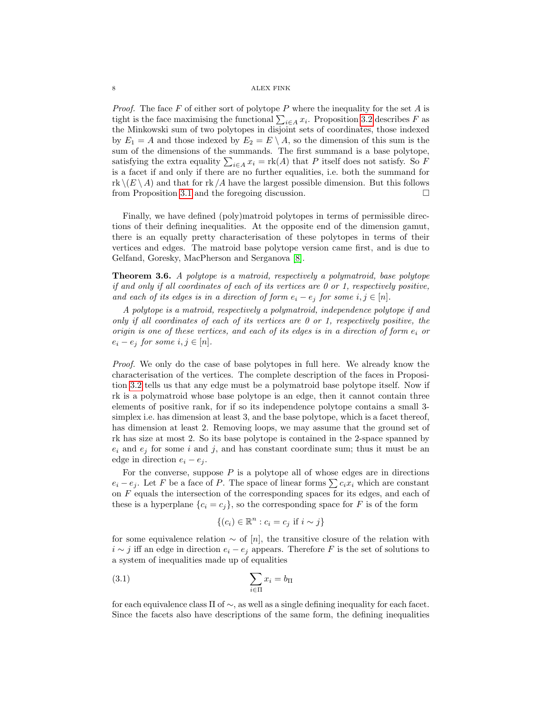*Proof.* The face F of either sort of polytope P where the inequality for the set A is tight is the face maximising the functional  $\sum_{i \in A} x_i$ . Proposition [3.2](#page-5-0) describes F as the Minkowski sum of two polytopes in disjoint sets of coordinates, those indexed by  $E_1 = A$  and those indexed by  $E_2 = E \setminus A$ , so the dimension of this sum is the sum of the dimensions of the summands. The first summand is a base polytope, satisfying the extra equality  $\sum_{i\in A} x_i = \text{rk}(A)$  that P itself does not satisfy. So F is a facet if and only if there are no further equalities, i.e. both the summand for  $\text{rk }\setminus (E \setminus A)$  and that for  $\text{rk }/A$  have the largest possible dimension. But this follows from Proposition [3.1](#page-4-0) and the foregoing discussion.

Finally, we have defined (poly)matroid polytopes in terms of permissible directions of their defining inequalities. At the opposite end of the dimension gamut, there is an equally pretty characterisation of these polytopes in terms of their vertices and edges. The matroid base polytope version came first, and is due to Gelfand, Goresky, MacPherson and Serganova [\[8\]](#page-26-4).

<span id="page-7-1"></span>Theorem 3.6. A polytope is a matroid, respectively a polymatroid, base polytope if and only if all coordinates of each of its vertices are 0 or 1, respectively positive, and each of its edges is in a direction of form  $e_i - e_j$  for some  $i, j \in [n]$ .

A polytope is a matroid, respectively a polymatroid, independence polytope if and only if all coordinates of each of its vertices are  $0$  or 1, respectively positive, the origin is one of these vertices, and each of its edges is in a direction of form  $e_i$  or  $e_i - e_j$  for some  $i, j \in [n]$ .

Proof. We only do the case of base polytopes in full here. We already know the characterisation of the vertices. The complete description of the faces in Proposition [3.2](#page-5-0) tells us that any edge must be a polymatroid base polytope itself. Now if rk is a polymatroid whose base polytope is an edge, then it cannot contain three elements of positive rank, for if so its independence polytope contains a small 3 simplex i.e. has dimension at least 3, and the base polytope, which is a facet thereof, has dimension at least 2. Removing loops, we may assume that the ground set of rk has size at most 2. So its base polytope is contained in the 2-space spanned by  $e_i$  and  $e_j$  for some i and j, and has constant coordinate sum; thus it must be an edge in direction  $e_i - e_j$ .

For the converse, suppose  $P$  is a polytope all of whose edges are in directions  $e_i - e_j$ . Let F be a face of P. The space of linear forms  $\sum c_i x_i$  which are constant on  $F$  equals the intersection of the corresponding spaces for its edges, and each of these is a hyperplane  $\{c_i = c_j\}$ , so the corresponding space for F is of the form

<span id="page-7-0"></span>
$$
\{(c_i) \in \mathbb{R}^n : c_i = c_j \text{ if } i \sim j\}
$$

for some equivalence relation  $\sim$  of [n], the transitive closure of the relation with  $i \sim j$  iff an edge in direction  $e_i - e_j$  appears. Therefore F is the set of solutions to a system of inequalities made up of equalities

$$
\sum_{i \in \Pi} x_i = b_{\Pi}
$$

for each equivalence class Π of ∼, as well as a single defining inequality for each facet. Since the facets also have descriptions of the same form, the defining inequalities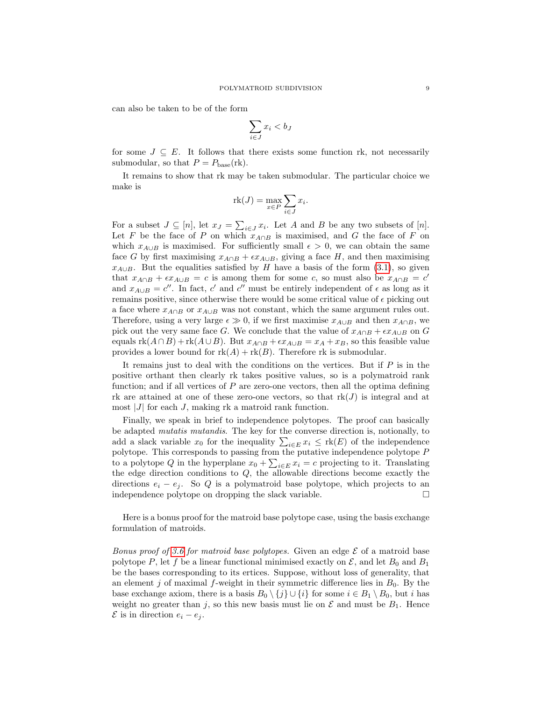can also be taken to be of the form

$$
\sum_{i \in J} x_i < b_J
$$

for some  $J \subseteq E$ . It follows that there exists some function rk, not necessarily submodular, so that  $P = P_{base}(\text{rk})$ .

It remains to show that rk may be taken submodular. The particular choice we make is

$$
rk(J) = \max_{x \in P} \sum_{i \in J} x_i.
$$

For a subset  $J \subseteq [n]$ , let  $x_J = \sum_{i \in J} x_i$ . Let A and B be any two subsets of  $[n]$ . Let F be the face of P on which  $x_{A\cap B}$  is maximised, and G the face of F on which  $x_{A\cup B}$  is maximised. For sufficiently small  $\epsilon > 0$ , we can obtain the same face G by first maximising  $x_{A\cap B} + \epsilon x_{A\cup B}$ , giving a face H, and then maximising  $x_{A\cup B}$ . But the equalities satisfied by H have a basis of the form [\(3.1\)](#page-7-0), so given that  $x_{A\cap B} + \epsilon x_{A\cup B} = c$  is among them for some c, so must also be  $x_{A\cap B} = c'$ and  $x_{A\cup B} = c''$ . In fact, c' and c'' must be entirely independent of  $\epsilon$  as long as it remains positive, since otherwise there would be some critical value of  $\epsilon$  picking out a face where  $x_{A\cap B}$  or  $x_{A\cup B}$  was not constant, which the same argument rules out. Therefore, using a very large  $\epsilon \gg 0$ , if we first maximise  $x_{A\cup B}$  and then  $x_{A\cap B}$ , we pick out the very same face G. We conclude that the value of  $x_{A\cap B} + \epsilon x_{A\cup B}$  on G equals  $rk(A \cap B) + rk(A \cup B)$ . But  $x_{A \cap B} + \epsilon x_{A \cup B} = x_A + x_B$ , so this feasible value provides a lower bound for  $rk(A) + rk(B)$ . Therefore rk is submodular.

It remains just to deal with the conditions on the vertices. But if  $P$  is in the positive orthant then clearly rk takes positive values, so is a polymatroid rank function; and if all vertices of  $P$  are zero-one vectors, then all the optima defining rk are attained at one of these zero-one vectors, so that  $rk(J)$  is integral and at most  $|J|$  for each J, making rk a matroid rank function.

Finally, we speak in brief to independence polytopes. The proof can basically be adapted mutatis mutandis. The key for the converse direction is, notionally, to add a slack variable  $x_0$  for the inequality  $\sum_{i \in E} x_i \leq \text{rk}(E)$  of the independence polytope. This corresponds to passing from the putative independence polytope P to a polytope Q in the hyperplane  $x_0 + \sum_{i \in E} x_i = c$  projecting to it. Translating the edge direction conditions to Q, the allowable directions become exactly the directions  $e_i - e_j$ . So Q is a polymatroid base polytope, which projects to an independence polytope on dropping the slack variable.

Here is a bonus proof for the matroid base polytope case, using the basis exchange formulation of matroids.

Bonus proof of [3.6](#page-7-1) for matroid base polytopes. Given an edge  $\mathcal E$  of a matroid base polytope P, let f be a linear functional minimised exactly on  $\mathcal{E}$ , and let  $B_0$  and  $B_1$ be the bases corresponding to its ertices. Suppose, without loss of generality, that an element j of maximal f-weight in their symmetric difference lies in  $B_0$ . By the base exchange axiom, there is a basis  $B_0 \setminus \{j\} \cup \{i\}$  for some  $i \in B_1 \setminus B_0$ , but i has weight no greater than j, so this new basis must lie on  $\mathcal E$  and must be  $B_1$ . Hence  $\mathcal E$  is in direction  $e_i - e_j$ .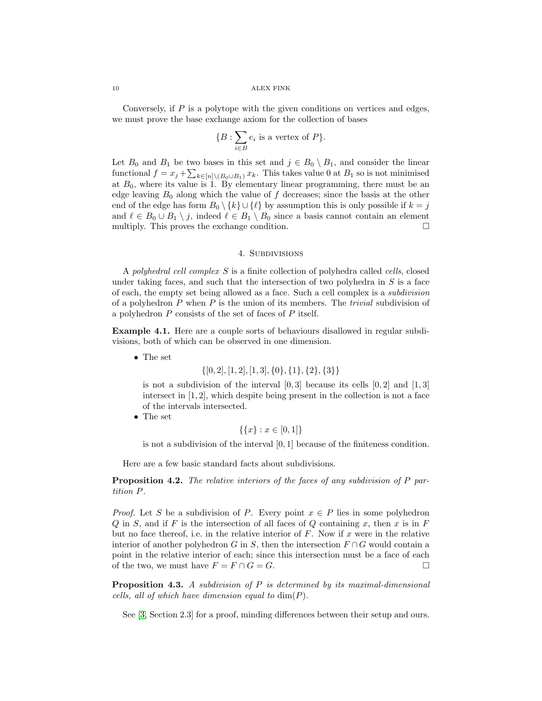Conversely, if  $P$  is a polytope with the given conditions on vertices and edges, we must prove the base exchange axiom for the collection of bases

$$
\{B: \sum_{i \in B} e_i \text{ is a vertex of } P\}.
$$

Let  $B_0$  and  $B_1$  be two bases in this set and  $j \in B_0 \setminus B_1$ , and consider the linear functional  $f = x_j + \sum_{k \in [n] \setminus (B_0 \cup B_1)} x_k$ . This takes value 0 at  $B_1$  so is not minimised at  $B_0$ , where its value is 1. By elementary linear programming, there must be an edge leaving  $B_0$  along which the value of f decreases; since the basis at the other end of the edge has form  $B_0 \setminus \{k\} \cup \{\ell\}$  by assumption this is only possible if  $k = j$ and  $\ell \in B_0 \cup B_1 \setminus j$ , indeed  $\ell \in B_1 \setminus B_0$  since a basis cannot contain an element multiply. This proves the exchange condition.  $\Box$ 

# 4. Subdivisions

A polyhedral cell complex S is a finite collection of polyhedra called cells, closed under taking faces, and such that the intersection of two polyhedra in  $S$  is a face of each, the empty set being allowed as a face. Such a cell complex is a subdivision of a polyhedron  $P$  when  $P$  is the union of its members. The *trivial* subdivision of a polyhedron P consists of the set of faces of P itself.

Example 4.1. Here are a couple sorts of behaviours disallowed in regular subdivisions, both of which can be observed in one dimension.

• The set

 $\{[0, 2], [1, 2], [1, 3], \{0\}, \{1\}, \{2\}, \{3\}\}\$ 

is not a subdivision of the interval  $[0,3]$  because its cells  $[0,2]$  and  $[1,3]$ intersect in [1, 2], which despite being present in the collection is not a face of the intervals intersected.

• The set

 $\{\{x\} : x \in [0,1]\}$ 

is not a subdivision of the interval  $[0, 1]$  because of the finiteness condition.

Here are a few basic standard facts about subdivisions.

<span id="page-9-0"></span>**Proposition 4.2.** The relative interiors of the faces of any subdivision of P partition P.

*Proof.* Let S be a subdivision of P. Every point  $x \in P$  lies in some polyhedron  $Q$  in  $S$ , and if  $F$  is the intersection of all faces of  $Q$  containing  $x$ , then  $x$  is in  $F$ but no face thereof, i.e. in the relative interior of  $F$ . Now if  $x$  were in the relative interior of another polyhedron G in S, then the intersection  $F \cap G$  would contain a point in the relative interior of each; since this intersection must be a face of each of the two, we must have  $F = F \cap G = G$ .

**Proposition 4.3.** A subdivision of  $P$  is determined by its maximal-dimensional cells, all of which have dimension equal to  $\dim(P)$ .

See [\[3,](#page-25-2) Section 2.3] for a proof, minding differences between their setup and ours.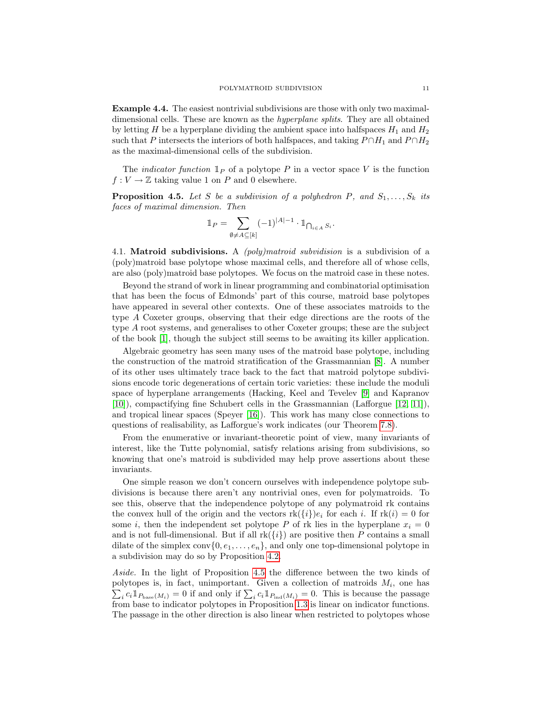Example 4.4. The easiest nontrivial subdivisions are those with only two maximaldimensional cells. These are known as the hyperplane splits. They are all obtained by letting H be a hyperplane dividing the ambient space into halfspaces  $H_1$  and  $H_2$ such that P intersects the interiors of both halfspaces, and taking  $P \cap H_1$  and  $P \cap H_2$ as the maximal-dimensional cells of the subdivision.

The *indicator function*  $\mathbb{I}_P$  of a polytope P in a vector space V is the function  $f: V \to \mathbb{Z}$  taking value 1 on P and 0 elsewhere.

<span id="page-10-0"></span>**Proposition 4.5.** Let S be a subdivision of a polyhedron P, and  $S_1, \ldots, S_k$  its faces of maximal dimension. Then

$$
\mathbb{1}_P = \sum_{\emptyset \neq A \subseteq [k]} (-1)^{|A|-1} \cdot \mathbb{1}_{\bigcap_{i \in A} S_i}.
$$

4.1. Matroid subdivisions. A *(poly)matroid subvidision* is a subdivision of a (poly)matroid base polytope whose maximal cells, and therefore all of whose cells, are also (poly)matroid base polytopes. We focus on the matroid case in these notes.

Beyond the strand of work in linear programming and combinatorial optimisation that has been the focus of Edmonds' part of this course, matroid base polytopes have appeared in several other contexts. One of these associates matroids to the type A Coxeter groups, observing that their edge directions are the roots of the type A root systems, and generalises to other Coxeter groups; these are the subject of the book [\[1\]](#page-25-3), though the subject still seems to be awaiting its killer application.

Algebraic geometry has seen many uses of the matroid base polytope, including the construction of the matroid stratification of the Grassmannian [\[8\]](#page-26-4). A number of its other uses ultimately trace back to the fact that matroid polytope subdivisions encode toric degenerations of certain toric varieties: these include the moduli space of hyperplane arrangements (Hacking, Keel and Tevelev [\[9\]](#page-26-5) and Kapranov [\[10\]](#page-26-6)), compactifying fine Schubert cells in the Grassmannian (Lafforgue [\[12,](#page-26-7) [11\]](#page-26-8)), and tropical linear spaces (Speyer [\[16\]](#page-26-9)). This work has many close connections to questions of realisability, as Lafforgue's work indicates (our Theorem [7.8\)](#page-23-0).

From the enumerative or invariant-theoretic point of view, many invariants of interest, like the Tutte polynomial, satisfy relations arising from subdivisions, so knowing that one's matroid is subdivided may help prove assertions about these invariants.

One simple reason we don't concern ourselves with independence polytope subdivisions is because there aren't any nontrivial ones, even for polymatroids. To see this, observe that the independence polytope of any polymatroid rk contains the convex hull of the origin and the vectors  $rk({i})e_i$  for each i. If  $rk(i) = 0$  for some i, then the independent set polytope P of rk lies in the hyperplane  $x_i = 0$ and is not full-dimensional. But if all  $rk({i})$  are positive then P contains a small dilate of the simplex conv $\{0, e_1, \ldots, e_n\}$ , and only one top-dimensional polytope in a subdivision may do so by Proposition [4.2.](#page-9-0)

Aside. In the light of Proposition [4.5](#page-10-0) the difference between the two kinds of polytopes is, in fact, unimportant. Given a collection of matroids  $M_i$ , one has  $\sum_i c_i \mathbb{1}_{P_{base}(M_i)} = 0$  if and only if  $\sum_i c_i \mathbb{1}_{P_{ind}(M_i)} = 0$ . This is because the passage from base to indicator polytopes in Proposition [1.3](#page-1-2) is linear on indicator functions. The passage in the other direction is also linear when restricted to polytopes whose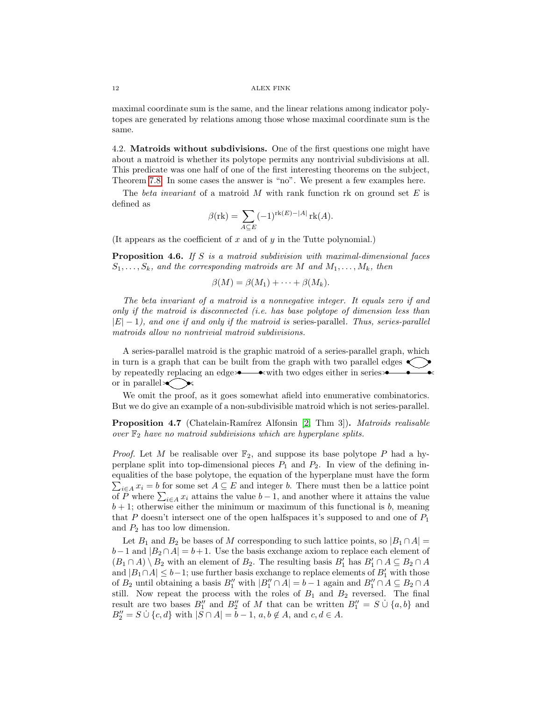maximal coordinate sum is the same, and the linear relations among indicator polytopes are generated by relations among those whose maximal coordinate sum is the same.

4.2. Matroids without subdivisions. One of the first questions one might have about a matroid is whether its polytope permits any nontrivial subdivisions at all. This predicate was one half of one of the first interesting theorems on the subject, Theorem [7.8.](#page-23-0) In some cases the answer is "no". We present a few examples here.

The beta invariant of a matroid M with rank function rk on ground set  $E$  is defined as

$$
\beta(\mathrm{rk}) = \sum_{A \subseteq E} (-1)^{\mathrm{rk}(E) - |A|} \mathrm{rk}(A).
$$

<span id="page-11-1"></span>(It appears as the coefficient of x and of y in the Tutte polynomial.)

**Proposition 4.6.** If S is a matroid subdivision with maximal-dimensional faces  $S_1, \ldots, S_k$ , and the corresponding matroids are M and  $M_1, \ldots, M_k$ , then

$$
\beta(M) = \beta(M_1) + \cdots + \beta(M_k).
$$

The beta invariant of a matroid is a nonnegative integer. It equals zero if and only if the matroid is disconnected (i.e. has base polytope of dimension less than  $|E| - 1$ , and one if and only if the matroid is series-parallel. Thus, series-parallel matroids allow no nontrivial matroid subdivisions.

A series-parallel matroid is the graphic matroid of a series-parallel graph, which in turn is a graph that can be built from the graph with two parallel edges  $\langle \rangle$ by repeatedly replacing an edge • $\bullet\bullet\bullet$  with two edges either in series • or in parallel  $\lt \searrow$ 

We omit the proof, as it goes somewhat afield into enumerative combinatorics. But we do give an example of a non-subdivisible matroid which is not series-parallel.

<span id="page-11-0"></span>Proposition 4.7 (Chatelain-Ramírez Alfonsin [\[2,](#page-25-4) Thm 3]). Matroids realisable over  $\mathbb{F}_2$  have no matroid subdivisions which are hyperplane splits.

*Proof.* Let M be realisable over  $\mathbb{F}_2$ , and suppose its base polytope P had a hyperplane split into top-dimensional pieces  $P_1$  and  $P_2$ . In view of the defining inequalities of the base polytope, the equation of the hyperplane must have the form  $\sum_{i\in A} x_i = b$  for some set  $A \subseteq E$  and integer b. There must then be a lattice point of P where  $\sum_{i\in A} x_i$  attains the value  $b-1$ , and another where it attains the value  $b + 1$ ; otherwise either the minimum or maximum of this functional is b, meaning that P doesn't intersect one of the open halfspaces it's supposed to and one of  $P_1$ and  $P_2$  has too low dimension.

Let  $B_1$  and  $B_2$  be bases of M corresponding to such lattice points, so  $|B_1 \cap A|$  =  $b-1$  and  $|B_2 \cap A| = b+1$ . Use the basis exchange axiom to replace each element of  $(B_1 \cap A) \setminus B_2$  with an element of  $B_2$ . The resulting basis  $B'_1$  has  $B'_1 \cap A \subseteq B_2 \cap A$ and  $|B_1 \cap A| \leq b-1$ ; use further basis exchange to replace elements of  $B'_1$  with those of  $B_2$  until obtaining a basis  $B_1''$  with  $|B_1'' \cap A| = b - 1$  again and  $B_1'' \cap A \subseteq B_2 \cap A$ still. Now repeat the process with the roles of  $B_1$  and  $B_2$  reversed. The final result are two bases  $B_1''$  and  $B_2''$  of M that can be written  $B_1'' = S \cup \{a, b\}$  and  $B_2'' = S \cup \{c, d\}$  with  $|S \cap A| = b - 1$ ,  $a, b \notin A$ , and  $c, d \in A$ .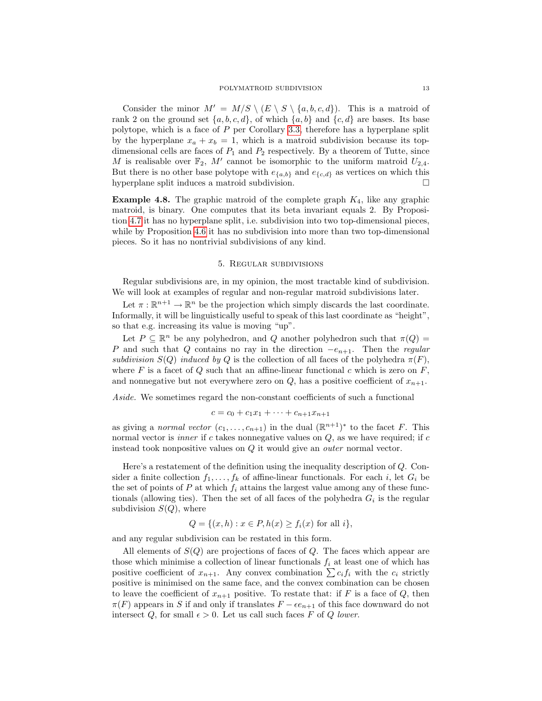Consider the minor  $M' = M/S \setminus (E \setminus S \setminus \{a, b, c, d\})$ . This is a matroid of rank 2 on the ground set  $\{a, b, c, d\}$ , of which  $\{a, b\}$  and  $\{c, d\}$  are bases. Its base polytope, which is a face of P per Corollary [3.3,](#page-6-0) therefore has a hyperplane split by the hyperplane  $x_a + x_b = 1$ , which is a matroid subdivision because its topdimensional cells are faces of  $P_1$  and  $P_2$  respectively. By a theorem of Tutte, since M is realisable over  $\mathbb{F}_2$ , M' cannot be isomorphic to the uniform matroid  $U_{2,4}$ . But there is no other base polytope with  $e_{a,b}$  and  $e_{\{c,d\}}$  as vertices on which this hyperplane split induces a matroid subdivision.

**Example 4.8.** The graphic matroid of the complete graph  $K_4$ , like any graphic matroid, is binary. One computes that its beta invariant equals 2. By Proposition [4.7](#page-11-0) it has no hyperplane split, i.e. subdivision into two top-dimensional pieces, while by Proposition [4.6](#page-11-1) it has no subdivision into more than two top-dimensional pieces. So it has no nontrivial subdivisions of any kind.

### 5. Regular subdivisions

Regular subdivisions are, in my opinion, the most tractable kind of subdivision. We will look at examples of regular and non-regular matroid subdivisions later.

Let  $\pi : \mathbb{R}^{n+1} \to \mathbb{R}^n$  be the projection which simply discards the last coordinate. Informally, it will be linguistically useful to speak of this last coordinate as "height", so that e.g. increasing its value is moving "up".

Let  $P \subseteq \mathbb{R}^n$  be any polyhedron, and Q another polyhedron such that  $\pi(Q)$ P and such that Q contains no ray in the direction  $-e_{n+1}$ . Then the regular subdivision  $S(Q)$  induced by Q is the collection of all faces of the polyhedra  $\pi(F)$ , where F is a facet of Q such that an affine-linear functional c which is zero on  $F$ , and nonnegative but not everywhere zero on  $Q$ , has a positive coefficient of  $x_{n+1}$ .

Aside. We sometimes regard the non-constant coefficients of such a functional

$$
c = c_0 + c_1 x_1 + \dots + c_{n+1} x_{n+1}
$$

as giving a *normal vector*  $(c_1, \ldots, c_{n+1})$  in the dual  $(\mathbb{R}^{n+1})^*$  to the facet F. This normal vector is *inner* if  $c$  takes nonnegative values on  $Q$ , as we have required; if  $c$ instead took nonpositive values on Q it would give an outer normal vector.

Here's a restatement of the definition using the inequality description of Q. Consider a finite collection  $f_1, \ldots, f_k$  of affine-linear functionals. For each i, let  $G_i$  be the set of points of  $P$  at which  $f_i$  attains the largest value among any of these functionals (allowing ties). Then the set of all faces of the polyhedra  $G_i$  is the regular subdivision  $S(Q)$ , where

$$
Q = \{(x, h) : x \in P, h(x) \ge f_i(x) \text{ for all } i\},\
$$

and any regular subdivision can be restated in this form.

All elements of  $S(Q)$  are projections of faces of Q. The faces which appear are those which minimise a collection of linear functionals  $f_i$  at least one of which has positive coefficient of  $x_{n+1}$ . Any convex combination  $\sum c_i f_i$  with the  $c_i$  strictly positive is minimised on the same face, and the convex combination can be chosen to leave the coefficient of  $x_{n+1}$  positive. To restate that: if F is a face of Q, then  $\pi(F)$  appears in S if and only if translates  $F - \epsilon e_{n+1}$  of this face downward do not intersect Q, for small  $\epsilon > 0$ . Let us call such faces F of Q lower.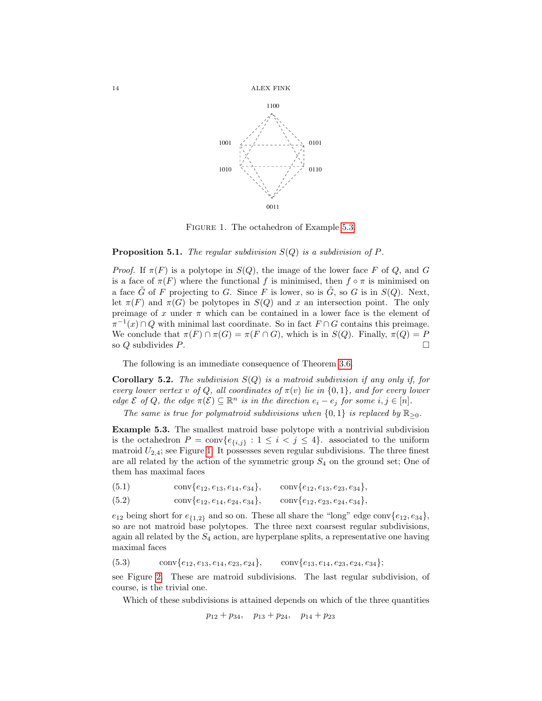

<span id="page-13-1"></span>FIGURE 1. The octahedron of Example [5.3.](#page-13-0)

## **Proposition 5.1.** The regular subdivision  $S(Q)$  is a subdivision of P.

*Proof.* If  $\pi(F)$  is a polytope in  $S(Q)$ , the image of the lower face F of Q, and G is a face of  $\pi(F)$  where the functional f is minimised, then  $f \circ \pi$  is minimised on a face  $\tilde{G}$  of F projecting to G. Since F is lower, so is  $\tilde{G}$ , so G is in  $S(Q)$ . Next, let  $\pi(F)$  and  $\pi(G)$  be polytopes in  $S(Q)$  and x an intersection point. The only preimage of x under  $\pi$  which can be contained in a lower face is the element of  $\pi^{-1}(x) \cap Q$  with minimal last coordinate. So in fact  $F \cap G$  contains this preimage. We conclude that  $\pi(F) \cap \pi(G) = \pi(F \cap G)$ , which is in  $S(Q)$ . Finally,  $\pi(Q) = P$ so Q subdivides P.

The following is an immediate consequence of Theorem [3.6.](#page-7-1)

<span id="page-13-4"></span>**Corollary 5.2.** The subdivision  $S(Q)$  is a matroid subdivision if any only if, for every lower vertex v of Q, all coordinates of  $\pi(v)$  lie in  $\{0,1\}$ , and for every lower edge  $\mathcal E$  of Q, the edge  $\pi(\mathcal E) \subseteq \mathbb{R}^n$  is in the direction  $e_i - e_j$  for some  $i, j \in [n]$ .

The same is true for polymatroid subdivisions when  $\{0, 1\}$  is replaced by  $\mathbb{R}_{\geq 0}$ .

<span id="page-13-0"></span>Example 5.3. The smallest matroid base polytope with a nontrivial subdivision is the octahedron  $P = \text{conv}\{e_{\{i,j\}} : 1 \leq i < j \leq 4\}$ . associated to the uniform matroid  $U_{2,4}$ ; see Figure [1.](#page-13-1) It possesses seven regular subdivisions. The three finest are all related by the action of the symmetric group  $S_4$  on the ground set; One of them has maximal faces

<span id="page-13-2"></span>(5.1) conv $\{e_{12}, e_{13}, e_{14}, e_{34}\}, \text{conv}\{e_{12}, e_{13}, e_{23}, e_{34}\},\$ 

(5.2)  $\text{conv}\{e_{12}, e_{14}, e_{24}, e_{34}\}, \text{conv}\{e_{12}, e_{23}, e_{24}, e_{34}\},\$ 

 $e_{12}$  being short for  $e_{\{1,2\}}$  and so on. These all share the "long" edge conv $\{e_{12}, e_{34}\},$ so are not matroid base polytopes. The three next coarsest regular subdivisions, again all related by the  $S_4$  action, are hyperplane splits, a representative one having maximal faces

<span id="page-13-3"></span>
$$
(5.3) \qquad \operatorname{conv}\{e_{12}, e_{13}, e_{14}, e_{23}, e_{24}\}, \qquad \operatorname{conv}\{e_{13}, e_{14}, e_{23}, e_{24}, e_{34}\};
$$

see Figure [2.](#page-14-0) These are matroid subdivisions. The last regular subdivision, of course, is the trivial one.

Which of these subdivisions is attained depends on which of the three quantities

$$
p_{12} + p_{34}, \quad p_{13} + p_{24}, \quad p_{14} + p_{23}
$$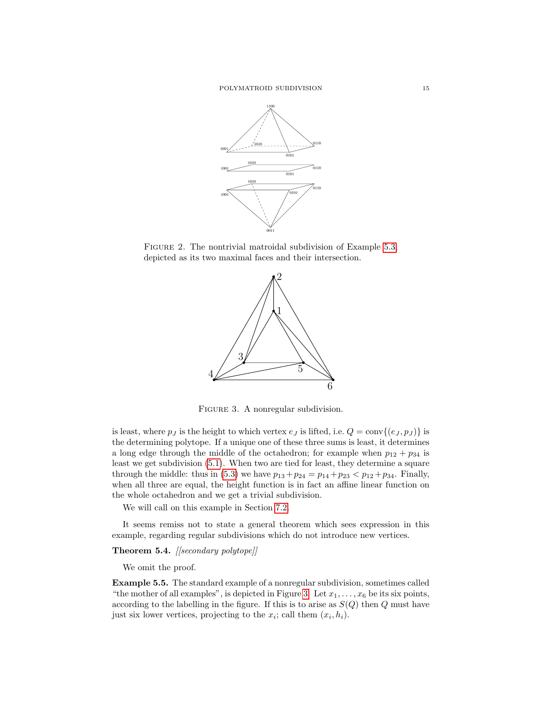

FIGURE 2. The nontrivial matroidal subdivision of Example [5.3,](#page-13-0) depicted as its two maximal faces and their intersection.

<span id="page-14-0"></span>

<span id="page-14-1"></span>FIGURE 3. A nonregular subdivision.

is least, where  $p_j$  is the height to which vertex  $e_j$  is lifted, i.e.  $Q = \text{conv}\{(e_j, p_j)\}\$ is the determining polytope. If a unique one of these three sums is least, it determines a long edge through the middle of the octahedron; for example when  $p_{12} + p_{34}$  is least we get subdivision [\(5.1\)](#page-13-2). When two are tied for least, they determine a square through the middle: thus in [\(5.3\)](#page-13-3) we have  $p_{13} + p_{24} = p_{14} + p_{23} < p_{12} + p_{34}$ . Finally, when all three are equal, the height function is in fact an affine linear function on the whole octahedron and we get a trivial subdivision.

We will call on this example in Section [7.2.](#page-21-0)

It seems remiss not to state a general theorem which sees expression in this example, regarding regular subdivisions which do not introduce new vertices.

# Theorem 5.4. [[secondary polytope]]

We omit the proof.

Example 5.5. The standard example of a nonregular subdivision, sometimes called "the mother of all examples", is depicted in Figure [3.](#page-14-1) Let  $x_1, \ldots, x_6$  be its six points, according to the labelling in the figure. If this is to arise as  $S(Q)$  then Q must have just six lower vertices, projecting to the  $x_i$ ; call them  $(x_i, h_i)$ .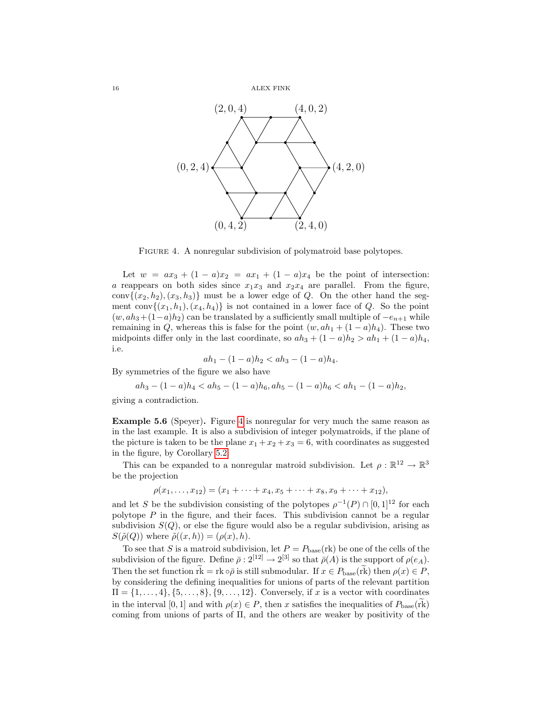

<span id="page-15-0"></span>FIGURE 4. A nonregular subdivision of polymatroid base polytopes.

Let  $w = ax_3 + (1 - a)x_2 = ax_1 + (1 - a)x_4$  be the point of intersection: a reappears on both sides since  $x_1x_3$  and  $x_2x_4$  are parallel. From the figure, conv $\{(x_2, h_2), (x_3, h_3)\}\$  must be a lower edge of Q. On the other hand the segment conv $\{(x_1, h_1), (x_4, h_4)\}\$ is not contained in a lower face of Q. So the point  $(w, ah_3+(1-a)h_2)$  can be translated by a sufficiently small multiple of  $-e_{n+1}$  while remaining in Q, whereas this is false for the point  $(w, ah_1 + (1 - a)h_4)$ . These two midpoints differ only in the last coordinate, so  $ah_3 + (1 - a)h_2 > ah_1 + (1 - a)h_4$ , i.e.

$$
ah_1 - (1 - a)h_2 < ah_3 - (1 - a)h_4.
$$

By symmetries of the figure we also have

$$
ah_3 - (1 - a)h_4 < ah_5 - (1 - a)h_6, ah_5 - (1 - a)h_6 < ah_1 - (1 - a)h_2,
$$

giving a contradiction.

Example 5.6 (Speyer). Figure [4](#page-15-0) is nonregular for very much the same reason as in the last example. It is also a subdivision of integer polymatroids, if the plane of the picture is taken to be the plane  $x_1 + x_2 + x_3 = 6$ , with coordinates as suggested in the figure, by Corollary [5.2.](#page-13-4)

This can be expanded to a nonregular matroid subdivision. Let  $\rho : \mathbb{R}^{12} \to \mathbb{R}^3$ be the projection

$$
\rho(x_1,\ldots,x_{12})=(x_1+\cdots+x_4,x_5+\cdots+x_8,x_9+\cdots+x_{12}),
$$

and let S be the subdivision consisting of the polytopes  $\rho^{-1}(P) \cap [0,1]^{12}$  for each polytope  $P$  in the figure, and their faces. This subdivision cannot be a regular subdivision  $S(Q)$ , or else the figure would also be a regular subdivision, arising as  $S(\tilde{\rho}(Q))$  where  $\tilde{\rho}((x,h)) = (\rho(x), h)$ .

To see that S is a matroid subdivision, let  $P = P_{base}(\text{rk})$  be one of the cells of the subdivision of the figure. Define  $\bar{\rho}: 2^{[12]} \to 2^{[3]}$  so that  $\bar{\rho}(A)$  is the support of  $\rho(e_A)$ . Then the set function  $\widetilde{\text{rk}} = \text{rk} \circ \overline{\rho}$  is still submodular. If  $x \in P_{\text{base}}(\widetilde{\text{rk}})$  then  $\rho(x) \in P$ , by considering the defining inequalities for unions of parts of the relevant partition  $\Pi = \{1, \ldots, 4\}, \{5, \ldots, 8\}, \{9, \ldots, 12\}.$  Conversely, if x is a vector with coordinates in the interval [0, 1] and with  $\rho(x) \in P$ , then x satisfies the inequalities of  $P_{\text{base}}(\tilde{rk})$ coming from unions of parts of Π, and the others are weaker by positivity of the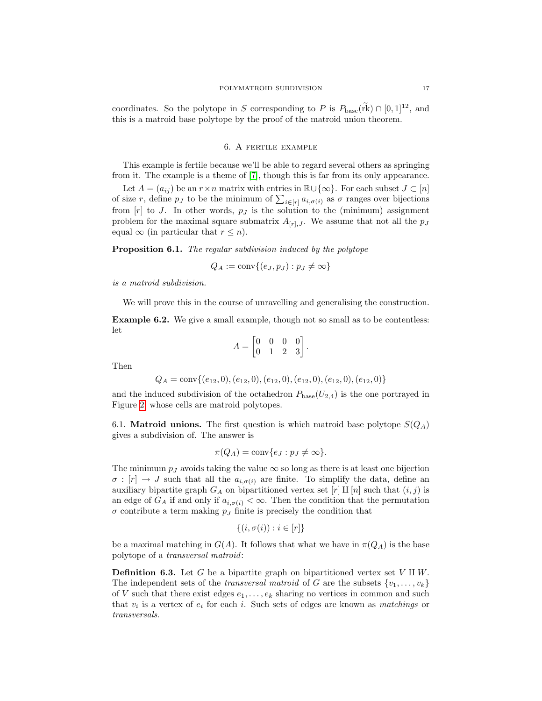coordinates. So the polytope in S corresponding to P is  $P_{\text{base}}(\text{rk}) \cap [0, 1]^{12}$ , and this is a matroid base polytope by the proof of the matroid union theorem.

## 6. A fertile example

This example is fertile because we'll be able to regard several others as springing from it. The example is a theme of [\[7\]](#page-25-5), though this is far from its only appearance.

Let  $A = (a_{ij})$  be an  $r \times n$  matrix with entries in  $\mathbb{R} \cup \{\infty\}$ . For each subset  $J \subset [n]$ of size r, define  $p_j$  to be the minimum of  $\sum_{i \in [r]} a_{i, \sigma(i)}$  as  $\sigma$  ranges over bijections from  $[r]$  to J. In other words,  $p_j$  is the solution to the (minimum) assignment problem for the maximal square submatrix  $A_{[r],J}$ . We assume that not all the  $p_J$ equal  $\infty$  (in particular that  $r \leq n$ ).

<span id="page-16-0"></span>**Proposition 6.1.** The regular subdivision induced by the polytope

$$
Q_A := \text{conv}\{(e_J, p_J) : p_J \neq \infty\}
$$

is a matroid subdivision.

We will prove this in the course of unravelling and generalising the construction.

Example 6.2. We give a small example, though not so small as to be contentless: let

$$
A = \begin{bmatrix} 0 & 0 & 0 & 0 \\ 0 & 1 & 2 & 3 \end{bmatrix}.
$$

Then

$$
Q_A = \text{conv}\{(e_{12}, 0), (e_{12}, 0), (e_{12}, 0), (e_{12}, 0), (e_{12}, 0), (e_{12}, 0)\}
$$

and the induced subdivision of the octahedron  $P_{base}(U_{2,4})$  is the one portrayed in Figure [2,](#page-14-0) whose cells are matroid polytopes.

6.1. **Matroid unions.** The first question is which matroid base polytope  $S(Q_A)$ gives a subdivision of. The answer is

$$
\pi(Q_A) = \text{conv}\{e_J : p_J \neq \infty\}.
$$

The minimum  $p_j$  avoids taking the value  $\infty$  so long as there is at least one bijection  $\sigma : [r] \to J$  such that all the  $a_{i,\sigma(i)}$  are finite. To simplify the data, define an auxiliary bipartite graph  $G_A$  on bipartitioned vertex set [r] II [n] such that  $(i, j)$  is an edge of  $G_A$  if and only if  $a_{i,\sigma(i)} < \infty$ . Then the condition that the permutation  $\sigma$  contribute a term making  $p_j$  finite is precisely the condition that

$$
\{(i, \sigma(i)) : i \in [r]\}
$$

be a maximal matching in  $G(A)$ . It follows that what we have in  $\pi(Q_A)$  is the base polytope of a transversal matroid:

**Definition 6.3.** Let G be a bipartite graph on bipartitioned vertex set  $V \amalg W$ . The independent sets of the *transversal matroid* of G are the subsets  $\{v_1, \ldots, v_k\}$ of V such that there exist edges  $e_1, \ldots, e_k$  sharing no vertices in common and such that  $v_i$  is a vertex of  $e_i$  for each i. Such sets of edges are known as *matchings* or transversals.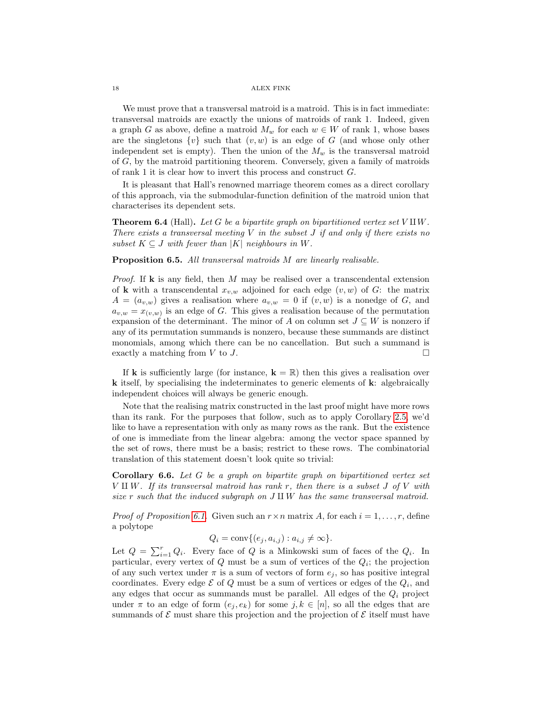We must prove that a transversal matroid is a matroid. This is in fact immediate: transversal matroids are exactly the unions of matroids of rank 1. Indeed, given a graph G as above, define a matroid  $M_w$  for each  $w \in W$  of rank 1, whose bases are the singletons  $\{v\}$  such that  $(v, w)$  is an edge of G (and whose only other independent set is empty). Then the union of the  $M_w$  is the transversal matroid of G, by the matroid partitioning theorem. Conversely, given a family of matroids of rank 1 it is clear how to invert this process and construct G.

It is pleasant that Hall's renowned marriage theorem comes as a direct corollary of this approach, via the submodular-function definition of the matroid union that characterises its dependent sets.

**Theorem 6.4** (Hall). Let G be a bipartite graph on bipartitioned vertex set  $V \amalg W$ . There exists a transversal meeting  $V$  in the subset  $J$  if and only if there exists no subset  $K \subseteq J$  with fewer than |K| neighbours in W.

<span id="page-17-0"></span>Proposition 6.5. All transversal matroids M are linearly realisable.

*Proof.* If **k** is any field, then M may be realised over a transcendental extension of **k** with a transcendental  $x_{v,w}$  adjoined for each edge  $(v, w)$  of G: the matrix  $A = (a_{v,w})$  gives a realisation where  $a_{v,w} = 0$  if  $(v, w)$  is a nonedge of G, and  $a_{v,w} = x_{(v,w)}$  is an edge of G. This gives a realisation because of the permutation expansion of the determinant. The minor of A on column set  $J \subseteq W$  is nonzero if any of its permutation summands is nonzero, because these summands are distinct monomials, among which there can be no cancellation. But such a summand is exactly a matching from  $V$  to  $J$ .

If **k** is sufficiently large (for instance,  $\mathbf{k} = \mathbb{R}$ ) then this gives a realisation over k itself, by specialising the indeterminates to generic elements of k: algebraically independent choices will always be generic enough.

Note that the realising matrix constructed in the last proof might have more rows than its rank. For the purposes that follow, such as to apply Corollary [2.5,](#page-3-1) we'd like to have a representation with only as many rows as the rank. But the existence of one is immediate from the linear algebra: among the vector space spanned by the set of rows, there must be a basis; restrict to these rows. The combinatorial translation of this statement doesn't look quite so trivial:

Corollary 6.6. Let G be a graph on bipartite graph on bipartitioned vertex set  $V \amalg W$ . If its transversal matroid has rank r, then there is a subset J of V with size r such that the induced subgraph on  $J \amalg W$  has the same transversal matroid.

*Proof of Proposition [6.1.](#page-16-0)* Given such an  $r \times n$  matrix A, for each  $i = 1, \ldots, r$ , define a polytope

 $Q_i = \text{conv}\{(e_j, a_{i,j}) : a_{i,j} \neq \infty\}.$ 

Let  $Q = \sum_{i=1}^{r} Q_i$ . Every face of Q is a Minkowski sum of faces of the  $Q_i$ . In particular, every vertex of  $Q$  must be a sum of vertices of the  $Q_i$ ; the projection of any such vertex under  $\pi$  is a sum of vectors of form  $e_j$ , so has positive integral coordinates. Every edge  $\mathcal E$  of  $Q$  must be a sum of vertices or edges of the  $Q_i$ , and any edges that occur as summands must be parallel. All edges of the  $Q_i$  project under  $\pi$  to an edge of form  $(e_i, e_k)$  for some  $j, k \in [n]$ , so all the edges that are summands of  $\mathcal E$  must share this projection and the projection of  $\mathcal E$  itself must have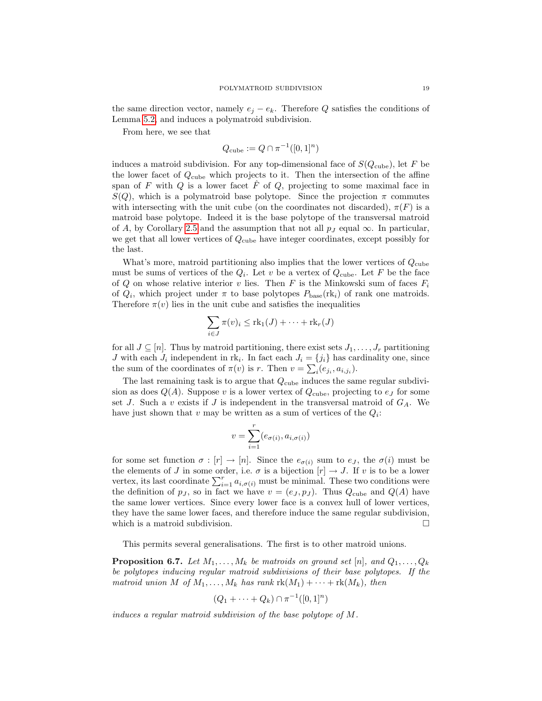the same direction vector, namely  $e_i - e_k$ . Therefore Q satisfies the conditions of Lemma [5.2,](#page-13-4) and induces a polymatroid subdivision.

From here, we see that

$$
Q_{\rm cube} := Q \cap \pi^{-1}([0,1]^n)
$$

induces a matroid subdivision. For any top-dimensional face of  $S(Q_{\text{cube}})$ , let F be the lower facet of  $Q_{\text{cube}}$  which projects to it. Then the intersection of the affine span of F with Q is a lower facet  $\hat{F}$  of Q, projecting to some maximal face in  $S(Q)$ , which is a polymatroid base polytope. Since the projection  $\pi$  commutes with intersecting with the unit cube (on the coordinates not discarded),  $\pi(F)$  is a matroid base polytope. Indeed it is the base polytope of the transversal matroid of A, by Corollary [2.5](#page-3-1) and the assumption that not all  $p_J$  equal  $\infty$ . In particular, we get that all lower vertices of  $Q_{\text{cube}}$  have integer coordinates, except possibly for the last.

What's more, matroid partitioning also implies that the lower vertices of  $Q_{\text{cube}}$ must be sums of vertices of the  $Q_i$ . Let v be a vertex of  $Q_{\text{cube}}$ . Let F be the face of Q on whose relative interior v lies. Then F is the Minkowski sum of faces  $F_i$ of  $Q_i$ , which project under  $\pi$  to base polytopes  $P_{base}(\mathbf{rk}_i)$  of rank one matroids. Therefore  $\pi(v)$  lies in the unit cube and satisfies the inequalities

$$
\sum_{i\in J}\pi(v)_i\leq \mathrm{rk}_1(J)+\cdots+\mathrm{rk}_r(J)
$$

for all  $J \subseteq [n]$ . Thus by matroid partitioning, there exist sets  $J_1, \ldots, J_r$  partitioning J with each  $J_i$  independent in rk<sub>i</sub>. In fact each  $J_i = \{j_i\}$  has cardinality one, since the sum of the coordinates of  $\pi(v)$  is r. Then  $v = \sum_i (e_{j_i}, a_{i,j_i}).$ 

The last remaining task is to argue that  $Q_{\text{cube}}$  induces the same regular subdivision as does  $Q(A)$ . Suppose v is a lower vertex of  $Q_{\text{cube}}$ , projecting to  $e_J$  for some set J. Such a v exists if J is independent in the transversal matroid of  $G_A$ . We have just shown that  $v$  may be written as a sum of vertices of the  $Q_i$ :

$$
v = \sum_{i=1}^r (e_{\sigma(i)}, a_{i, \sigma(i)})
$$

for some set function  $\sigma : [r] \to [n]$ . Since the  $e_{\sigma(i)}$  sum to  $e_j$ , the  $\sigma(i)$  must be the elements of J in some order, i.e.  $\sigma$  is a bijection  $[r] \rightarrow J$ . If v is to be a lower vertex, its last coordinate  $\sum_{i=1}^{r} a_{i,\sigma(i)}$  must be minimal. These two conditions were the definition of  $p_j$ , so in fact we have  $v = (e_j, p_j)$ . Thus  $Q_{\text{cube}}$  and  $Q(A)$  have the same lower vertices. Since every lower face is a convex hull of lower vertices, they have the same lower faces, and therefore induce the same regular subdivision, which is a matroid subdivision.

This permits several generalisations. The first is to other matroid unions.

**Proposition 6.7.** Let  $M_1, \ldots, M_k$  be matroids on ground set [n], and  $Q_1, \ldots, Q_k$ be polytopes inducing regular matroid subdivisions of their base polytopes. If the matroid union M of  $M_1, \ldots, M_k$  has rank  $rk(M_1) + \cdots + rk(M_k)$ , then

$$
(Q_1 + \dots + Q_k) \cap \pi^{-1}([0,1]^n)
$$

induces a regular matroid subdivision of the base polytope of M.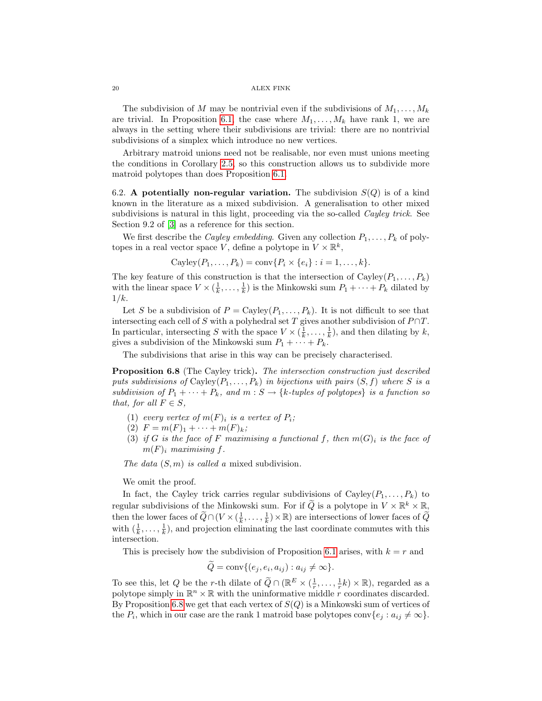The subdivision of M may be nontrivial even if the subdivisions of  $M_1, \ldots, M_k$ are trivial. In Proposition [6.1,](#page-16-0) the case where  $M_1, \ldots, M_k$  have rank 1, we are always in the setting where their subdivisions are trivial: there are no nontrivial subdivisions of a simplex which introduce no new vertices.

Arbitrary matroid unions need not be realisable, nor even must unions meeting the conditions in Corollary [2.5,](#page-3-1) so this construction allows us to subdivide more matroid polytopes than does Proposition [6.1.](#page-16-0)

6.2. A potentially non-regular variation. The subdivision  $S(Q)$  is of a kind known in the literature as a mixed subdivision. A generalisation to other mixed subdivisions is natural in this light, proceeding via the so-called *Cayley trick*. See Section 9.2 of [\[3\]](#page-25-2) as a reference for this section.

We first describe the *Cayley embedding*. Given any collection  $P_1, \ldots, P_k$  of polytopes in a real vector space V, define a polytope in  $V \times \mathbb{R}^k$ ,

$$
Cayley(P_1,\ldots,P_k)=\operatorname{conv}\{P_i\times\{e_i\}:i=1,\ldots,k\}.
$$

The key feature of this construction is that the intersection of  $Cayley(P_1, \ldots, P_k)$ with the linear space  $V \times (\frac{1}{k}, \ldots, \frac{1}{k})$  is the Minkowski sum  $P_1 + \cdots + P_k$  dilated by  $1/k$ .

Let S be a subdivision of  $P = \text{Cayley}(P_1, \ldots, P_k)$ . It is not difficult to see that intersecting each cell of S with a polyhedral set T gives another subdivision of  $P \cap T$ . In particular, intersecting S with the space  $V \times (\frac{1}{k}, \ldots, \frac{1}{k})$ , and then dilating by k, gives a subdivision of the Minkowski sum  $P_1 + \cdots + P_k$ .

The subdivisions that arise in this way can be precisely characterised.

<span id="page-19-0"></span>**Proposition 6.8** (The Cayley trick). The intersection construction just described puts subdivisions of  $Cayley(P_1, \ldots, P_k)$  in bijections with pairs  $(S, f)$  where S is a subdivision of  $P_1 + \cdots + P_k$ , and  $m : S \to \{k\text{-tuples of polytopes}\}$  is a function so that, for all  $F \in S$ ,

- (1) every vertex of  $m(F)_i$  is a vertex of  $P_i$ ;
- (2)  $F = m(F)_1 + \cdots + m(F)_k;$
- (3) if G is the face of F maximising a functional f, then  $m(G)_i$  is the face of  $m(F)$ <sub>i</sub> maximising f.

The data  $(S, m)$  is called a mixed subdivision.

We omit the proof.

In fact, the Cayley trick carries regular subdivisions of  $Cayley(P_1, \ldots, P_k)$  to regular subdivisions of the Minkowski sum. For if  $\widetilde{Q}$  is a polytope in  $V \times \mathbb{R}^k \times \mathbb{R}$ , then the lower faces of  $\widetilde{Q} \cap (V \times (\frac{1}{k}, \ldots, \frac{1}{k}) \times \mathbb{R})$  are intersections of lower faces of  $\widetilde{Q}$ with  $(\frac{1}{k}, \ldots, \frac{1}{k})$ , and projection eliminating the last coordinate commutes with this intersection.

This is precisely how the subdivision of Proposition [6.1](#page-16-0) arises, with  $k = r$  and

$$
\tilde{Q} = \text{conv}\{(e_j, e_i, a_{ij}) : a_{ij} \neq \infty\}.
$$

To see this, let Q be the r-th dilate of  $\widetilde{Q} \cap (\mathbb{R}^E \times (\frac{1}{r}, \dots, \frac{1}{r}k) \times \mathbb{R})$ , regarded as a polytope simply in  $\mathbb{R}^n \times \mathbb{R}$  with the uninformative middle r coordinates discarded. By Proposition [6.8](#page-19-0) we get that each vertex of  $S(Q)$  is a Minkowski sum of vertices of the  $P_i$ , which in our case are the rank 1 matroid base polytopes conv $\{e_j : a_{ij} \neq \infty\}$ .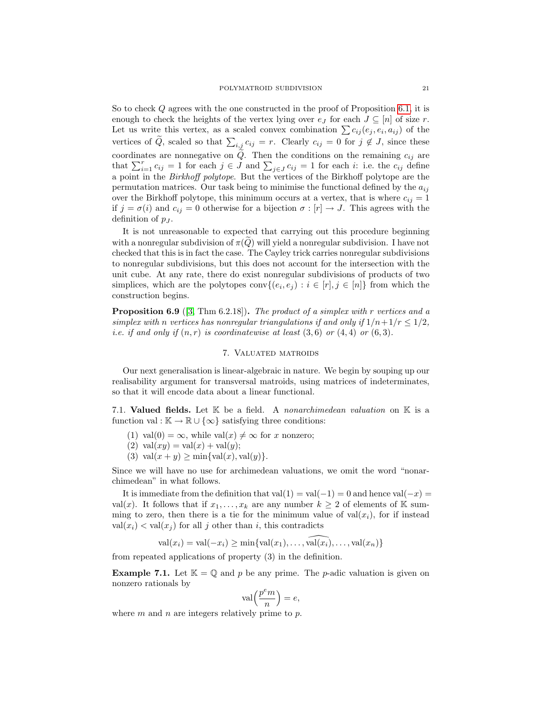So to check Q agrees with the one constructed in the proof of Proposition [6.1,](#page-16-0) it is enough to check the heights of the vertex lying over  $e_J$  for each  $J \subseteq [n]$  of size r. Let us write this vertex, as a scaled convex combination  $\sum c_{ij} (e_j, e_i, a_{ij})$  of the vertices of Q, scaled so that  $\sum_{i,j} c_{ij} = r$ . Clearly  $c_{ij} = 0$  for  $j \notin J$ , since these coordinates are nonnegative on  $\tilde{Q}$ . Then the conditions on the remaining  $c_{ij}$  are that  $\sum_{i=1}^r c_{ij} = 1$  for each  $j \in J$  and  $\sum_{j \in J} c_{ij} = 1$  for each i: i.e. the  $c_{ij}$  define a point in the Birkhoff polytope. But the vertices of the Birkhoff polytope are the permutation matrices. Our task being to minimise the functional defined by the  $a_{ij}$ over the Birkhoff polytope, this minimum occurs at a vertex, that is where  $c_{ij} = 1$ if  $j = \sigma(i)$  and  $c_{ij} = 0$  otherwise for a bijection  $\sigma : [r] \to J$ . This agrees with the definition of  $p_J$ .

It is not unreasonable to expected that carrying out this procedure beginning with a nonregular subdivision of  $\pi(Q)$  will yield a nonregular subdivision. I have not checked that this is in fact the case. The Cayley trick carries nonregular subdivisions to nonregular subdivisions, but this does not account for the intersection with the unit cube. At any rate, there do exist nonregular subdivisions of products of two simplices, which are the polytopes  $\text{conv}\{(e_i, e_j) : i \in [r], j \in [n]\}$  from which the construction begins.

Proposition 6.9 ([\[3,](#page-25-2) Thm 6.2.18]). The product of a simplex with r vertices and a simplex with n vertices has nonregular triangulations if and only if  $1/n+1/r \leq 1/2$ , *i.e.* if and only if  $(n, r)$  is coordinatewise at least  $(3, 6)$  or  $(4, 4)$  or  $(6, 3)$ .

# 7. Valuated matroids

Our next generalisation is linear-algebraic in nature. We begin by souping up our realisability argument for transversal matroids, using matrices of indeterminates, so that it will encode data about a linear functional.

7.1. Valued fields. Let  $K$  be a field. A nonarchimedean valuation on  $K$  is a function val :  $\mathbb{K} \to \mathbb{R} \cup {\infty}$  satisfying three conditions:

- (1) val $(0) = \infty$ , while val $(x) \neq \infty$  for x nonzero;
- (2) val $(xy) = val(x) + val(y);$
- (3) val $(x + y) \ge \min{\lbrace \text{val}(x), \text{val}(y) \rbrace}$ .

Since we will have no use for archimedean valuations, we omit the word "nonarchimedean" in what follows.

It is immediate from the definition that val(1) = val(-1) = 0 and hence val(-x) = val(x). It follows that if  $x_1, \ldots, x_k$  are any number  $k \geq 2$  of elements of K summing to zero, then there is a tie for the minimum value of  $val(x_i)$ , for if instead  $val(x_i) < val(x_j)$  for all j other than i, this contradicts

 $val(x_i) = val(-x_i) \ge \min\{val(x_1), \ldots, val(x_i), \ldots, val(x_n)\}\$ 

from repeated applications of property (3) in the definition.

**Example 7.1.** Let  $\mathbb{K} = \mathbb{Q}$  and p be any prime. The p-adic valuation is given on nonzero rationals by

$$
\operatorname{val}\left(\frac{p^em}{n}\right) = e,
$$

<span id="page-20-0"></span>where  $m$  and  $n$  are integers relatively prime to  $p$ .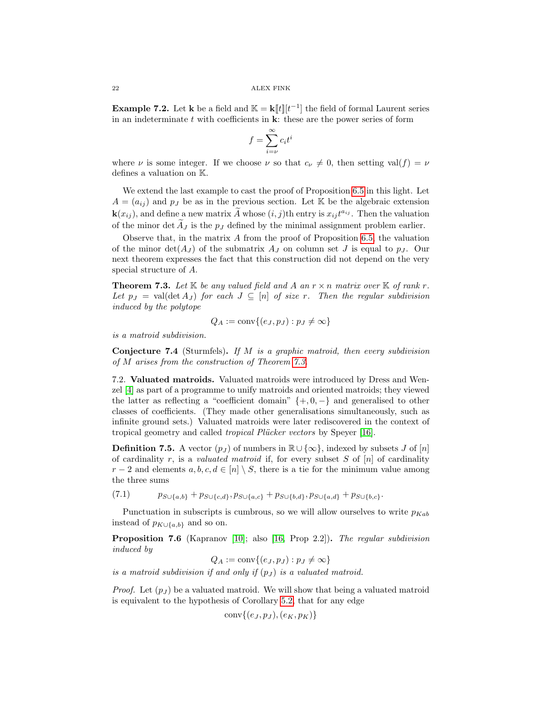**Example 7.2.** Let **k** be a field and  $\mathbb{K} = \mathbf{k}[[t]][t^{-1}]$  the field of formal Laurent series in an indeterminate  $t$  with coefficients in  $k$ : these are the power series of form

$$
f = \sum_{i=\nu}^{\infty} c_i t^i
$$

where  $\nu$  is some integer. If we choose  $\nu$  so that  $c_{\nu} \neq 0$ , then setting val(f) =  $\nu$ defines a valuation on K.

We extend the last example to cast the proof of Proposition [6.5](#page-17-0) in this light. Let  $A = (a_{ij})$  and  $p_j$  be as in the previous section. Let K be the algebraic extension  $\mathbf{k}(x_{ij})$ , and define a new matrix  $\widetilde{A}$  whose  $(i, j)$ th entry is  $x_{ij}t^{a_{ij}}$ . Then the valuation of the minor det  $\overline{A}_J$  is the  $p_J$  defined by the minimal assignment problem earlier.

Observe that, in the matrix A from the proof of Proposition [6.5,](#page-17-0) the valuation of the minor  $\det(A_J)$  of the submatrix  $A_J$  on column set J is equal to  $p_J$ . Our next theorem expresses the fact that this construction did not depend on the very special structure of A.

<span id="page-21-1"></span>**Theorem 7.3.** Let K be any valued field and A an  $r \times n$  matrix over K of rank r. Let  $p_J = \text{val}(\det A_J)$  for each  $J \subseteq [n]$  of size r. Then the regular subdivision induced by the polytope

$$
Q_A := \text{conv}\{(e_J, p_J) : p_J \neq \infty\}
$$

is a matroid subdivision.

**Conjecture 7.4** (Sturmfels). If M is a graphic matroid, then every subdivision of M arises from the construction of Theorem [7.3.](#page-21-1)

<span id="page-21-0"></span>7.2. Valuated matroids. Valuated matroids were introduced by Dress and Wenzel [\[4\]](#page-25-6) as part of a programme to unify matroids and oriented matroids; they viewed the latter as reflecting a "coefficient domain"  $\{+,0,-\}$  and generalised to other classes of coefficients. (They made other generalisations simultaneously, such as infinite ground sets.) Valuated matroids were later rediscovered in the context of tropical geometry and called *tropical Plücker vectors* by Speyer [\[16\]](#page-26-9).

**Definition 7.5.** A vector  $(p_J)$  of numbers in  $\mathbb{R} \cup \{\infty\}$ , indexed by subsets J of  $[n]$ of cardinality r, is a *valuated matroid* if, for every subset S of  $[n]$  of cardinality  $r-2$  and elements  $a, b, c, d \in [n] \setminus S$ , there is a tie for the minimum value among the three sums

(7.1)  $p_{S\cup\{a,b\}} + p_{S\cup\{c,d\}}, p_{S\cup\{a,c\}} + p_{S\cup\{b,d\}}, p_{S\cup\{a,d\}} + p_{S\cup\{b,c\}}.$ 

Punctuation in subscripts is cumbrous, so we will allow ourselves to write  $p_{Kab}$ instead of  $p_{K\cup\{a,b\}}$  and so on.

<span id="page-21-2"></span>Proposition 7.6 (Kapranov [\[10\]](#page-26-6); also [\[16,](#page-26-9) Prop 2.2]). The regular subdivision induced by

 $Q_A := \text{conv}\{(e_J, p_J) : p_J \neq \infty\}$ 

is a matroid subdivision if and only if  $(p_I)$  is a valuated matroid.

*Proof.* Let  $(p_I)$  be a valuated matroid. We will show that being a valuated matroid is equivalent to the hypothesis of Corollary [5.2,](#page-13-4) that for any edge

$$
conv\{(e_J,p_J),(e_K,p_K)\}
$$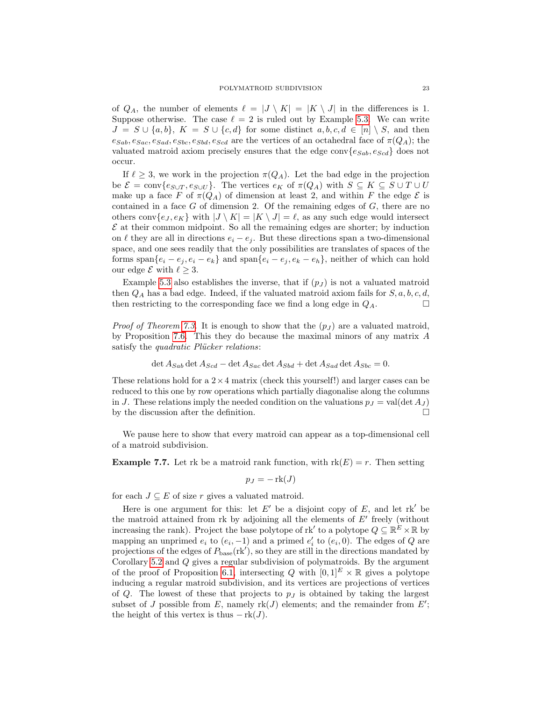of  $Q_A$ , the number of elements  $\ell = |J \setminus K| = |K \setminus J|$  in the differences is 1. Suppose otherwise. The case  $\ell = 2$  is ruled out by Example [5.3.](#page-13-0) We can write  $J = S \cup \{a, b\}, K = S \cup \{c, d\}$  for some distinct  $a, b, c, d \in [n] \setminus S$ , and then  $e_{Sab}, e_{Sac}, e_{Sad}, e_{Sbc}, e_{Sbd}, e_{Scd}$  are the vertices of an octahedral face of  $\pi(Q_A)$ ; the valuated matroid axiom precisely ensures that the edge conv $\{e_{Sab}, e_{Scd}\}$  does not occur.

If  $\ell \geq 3$ , we work in the projection  $\pi(Q_A)$ . Let the bad edge in the projection be  $\mathcal{E} = \text{conv}\{e_{S\cup T}, e_{S\cup U}\}.$  The vertices  $e_K$  of  $\pi(Q_A)$  with  $S \subseteq K \subseteq S \cup T \cup U$ make up a face F of  $\pi(Q_A)$  of dimension at least 2, and within F the edge  $\mathcal E$  is contained in a face  $G$  of dimension 2. Of the remaining edges of  $G$ , there are no others conv $\{e_J, e_K\}$  with  $|J \setminus K| = |K \setminus J| = \ell$ , as any such edge would intersect  $\mathcal E$  at their common midpoint. So all the remaining edges are shorter; by induction on  $\ell$  they are all in directions  $e_i - e_j$ . But these directions span a two-dimensional space, and one sees readily that the only possibilities are translates of spaces of the forms span $\{e_i - e_j, e_i - e_k\}$  and span $\{e_i - e_j, e_k - e_k\}$ , neither of which can hold our edge  $\mathcal E$  with  $\ell \geq 3$ .

Example [5.3](#page-13-0) also establishes the inverse, that if  $(p<sub>J</sub>)$  is not a valuated matroid then  $Q_A$  has a bad edge. Indeed, if the valuated matroid axiom fails for  $S, a, b, c, d$ , then restricting to the corresponding face we find a long edge in  $Q_A$ .

*Proof of Theorem [7.3.](#page-21-1)* It is enough to show that the  $(p_J)$  are a valuated matroid, by Proposition [7.6.](#page-21-2) This they do because the maximal minors of any matrix A satisfy the *quadratic Plücker relations*:

$$
\det A_{Sab} \det A_{Scd} - \det A_{Sac} \det A_{Sbd} + \det A_{Sad} \det A_{Sbc} = 0.
$$

These relations hold for a  $2 \times 4$  matrix (check this yourself!) and larger cases can be reduced to this one by row operations which partially diagonalise along the columns in J. These relations imply the needed condition on the valuations  $p_J = \text{val}(\det A_J)$ by the discussion after the definition.  $\Box$ 

We pause here to show that every matroid can appear as a top-dimensional cell of a matroid subdivision.

**Example 7.7.** Let rk be a matroid rank function, with  $rk(E) = r$ . Then setting

$$
p_J = -\operatorname{rk}(J)
$$

for each  $J \subseteq E$  of size r gives a valuated matroid.

Here is one argument for this: let  $E'$  be a disjoint copy of  $E$ , and let rk' be the matroid attained from rk by adjoining all the elements of  $E'$  freely (without increasing the rank). Project the base polytope of rk' to a polytope  $Q \subseteq \mathbb{R}^E \times \mathbb{R}$  by mapping an unprimed  $e_i$  to  $(e_i, -1)$  and a primed  $e'_i$  to  $(e_i, 0)$ . The edges of Q are projections of the edges of  $P_{\text{base}}(\text{rk}'),$  so they are still in the directions mandated by Corollary [5.2](#page-13-4) and Q gives a regular subdivision of polymatroids. By the argument of the proof of Proposition [6.1,](#page-16-0) intersecting Q with  $[0, 1]^E \times \mathbb{R}$  gives a polytope inducing a regular matroid subdivision, and its vertices are projections of vertices of  $Q$ . The lowest of these that projects to  $p<sub>J</sub>$  is obtained by taking the largest subset of J possible from E, namely  $rk(J)$  elements; and the remainder from  $E'$ ; the height of this vertex is thus  $-\text{rk}(J)$ .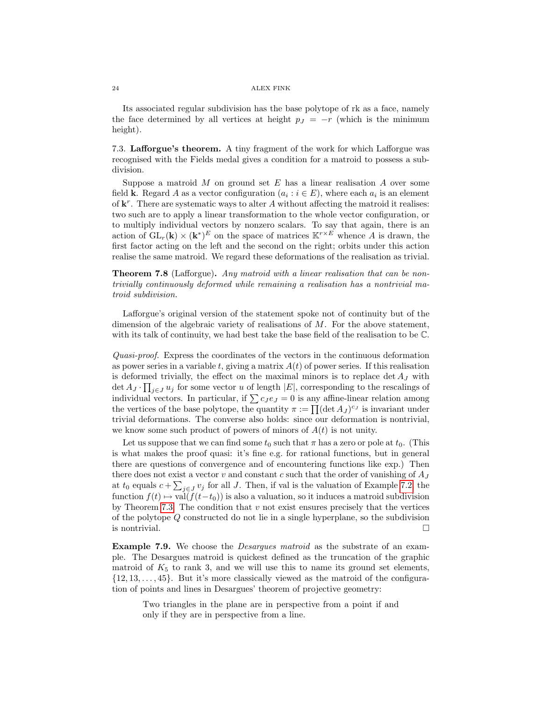Its associated regular subdivision has the base polytope of rk as a face, namely the face determined by all vertices at height  $p_J = -r$  (which is the minimum height).

7.3. Lafforgue's theorem. A tiny fragment of the work for which Lafforgue was recognised with the Fields medal gives a condition for a matroid to possess a subdivision.

Suppose a matroid  $M$  on ground set  $E$  has a linear realisation  $A$  over some field **k**. Regard A as a vector configuration  $(a_i : i \in E)$ , where each  $a_i$  is an element of  $\mathbf{k}^r$ . There are systematic ways to alter A without affecting the matroid it realises: two such are to apply a linear transformation to the whole vector configuration, or to multiply individual vectors by nonzero scalars. To say that again, there is an action of  $GL_r(\mathbf{k}) \times (\mathbf{k}^*)^E$  on the space of matrices  $\mathbb{K}^{r \times E}$  whence A is drawn, the first factor acting on the left and the second on the right; orbits under this action realise the same matroid. We regard these deformations of the realisation as trivial.

<span id="page-23-0"></span>Theorem 7.8 (Lafforgue). Any matroid with a linear realisation that can be nontrivially continuously deformed while remaining a realisation has a nontrivial matroid subdivision.

Lafforgue's original version of the statement spoke not of continuity but of the dimension of the algebraic variety of realisations of  $M$ . For the above statement, with its talk of continuity, we had best take the base field of the realisation to be C.

Quasi-proof. Express the coordinates of the vectors in the continuous deformation as power series in a variable t, giving a matrix  $A(t)$  of power series. If this realisation is deformed trivially, the effect on the maximal minors is to replace  $\det A_J$  with det  $A_J \cdot \prod_{j \in J} u_j$  for some vector u of length  $|E|$ , corresponding to the rescalings of individual vectors. In particular, if  $\sum c_J e_J = 0$  is any affine-linear relation among the vertices of the base polytope, the quantity  $\pi := \prod (\det A_J)^{c_J}$  is invariant under trivial deformations. The converse also holds: since our deformation is nontrivial, we know some such product of powers of minors of  $A(t)$  is not unity.

Let us suppose that we can find some  $t_0$  such that  $\pi$  has a zero or pole at  $t_0$ . (This is what makes the proof quasi: it's fine e.g. for rational functions, but in general there are questions of convergence and of encountering functions like exp.) Then there does not exist a vector v and constant c such that the order of vanishing of  $A_J$ at  $t_0$  equals  $c + \sum_{j \in J} v_j$  for all J. Then, if val is the valuation of Example [7.2,](#page-20-0) the function  $f(t) \mapsto \text{val}(f(t-t_0))$  is also a valuation, so it induces a matroid subdivision by Theorem [7.3.](#page-21-1) The condition that  $v$  not exist ensures precisely that the vertices of the polytope Q constructed do not lie in a single hyperplane, so the subdivision is nontrivial.

Example 7.9. We choose the *Desargues matroid* as the substrate of an example. The Desargues matroid is quickest defined as the truncation of the graphic matroid of  $K_5$  to rank 3, and we will use this to name its ground set elements,  $\{12, 13, \ldots, 45\}$ . But it's more classically viewed as the matroid of the configuration of points and lines in Desargues' theorem of projective geometry:

Two triangles in the plane are in perspective from a point if and only if they are in perspective from a line.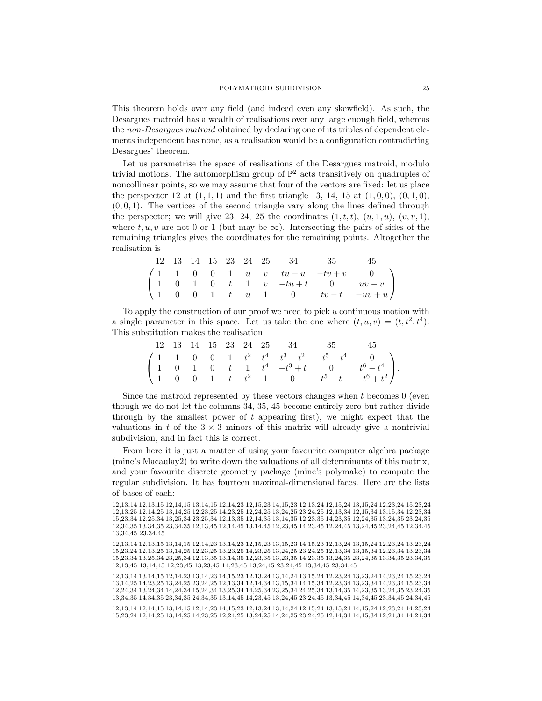This theorem holds over any field (and indeed even any skewfield). As such, the Desargues matroid has a wealth of realisations over any large enough field, whereas the non-Desargues matroid obtained by declaring one of its triples of dependent elements independent has none, as a realisation would be a configuration contradicting Desargues' theorem.

Let us parametrise the space of realisations of the Desargues matroid, modulo trivial motions. The automorphism group of  $\mathbb{P}^2$  acts transitively on quadruples of noncollinear points, so we may assume that four of the vectors are fixed: let us place the perspector 12 at  $(1, 1, 1)$  and the first triangle 13, 14, 15 at  $(1, 0, 0)$ ,  $(0, 1, 0)$ ,  $(0, 0, 1)$ . The vertices of the second triangle vary along the lines defined through the perspector; we will give 23, 24, 25 the coordinates  $(1, t, t)$ ,  $(u, 1, u)$ ,  $(v, v, 1)$ , where t, u, v are not 0 or 1 (but may be  $\infty$ ). Intersecting the pairs of sides of the remaining triangles gives the coordinates for the remaining points. Altogether the realisation is

|  |  |  |  | 12 13 14 15 23 24 25 34 35 45 |                                                                                                                                                                                                   |  |
|--|--|--|--|-------------------------------|---------------------------------------------------------------------------------------------------------------------------------------------------------------------------------------------------|--|
|  |  |  |  |                               |                                                                                                                                                                                                   |  |
|  |  |  |  |                               | $\left(\begin{array}{ccccccccc} 1 & 1 & 0 & 0 & 1 & u & v & tu-u & -tv+v & 0 \\ 1 & 0 & 1 & 0 & t & 1 & v & -tu+t & 0 & uv-v \\ 1 & 0 & 0 & 1 & t & u & 1 & 0 & tv-t & -uv+u \end{array}\right).$ |  |
|  |  |  |  |                               |                                                                                                                                                                                                   |  |

To apply the construction of our proof we need to pick a continuous motion with a single parameter in this space. Let us take the one where  $(t, u, v) = (t, t^2, t^4)$ . This substitution makes the realisation

|  |  |  |  | 12 13 14 15 23 24 25 34 35 45 |                                                                                                                                                                                                                         |  |
|--|--|--|--|-------------------------------|-------------------------------------------------------------------------------------------------------------------------------------------------------------------------------------------------------------------------|--|
|  |  |  |  |                               | $\left(\begin{array}{ccccccccc} 1 & 1 & 0 & 0 & 1 & t^2 & t^4 & t^3-t^2 & -t^5+t^4 & 0 \\ 1 & 0 & 1 & 0 & t & 1 & t^4 & -t^3+t & 0 & t^6-t^4 \\ 1 & 0 & 0 & 1 & t & t^2 & 1 & 0 & t^5-t & -t^6+t^2 \end{array}\right).$ |  |
|  |  |  |  |                               |                                                                                                                                                                                                                         |  |
|  |  |  |  |                               |                                                                                                                                                                                                                         |  |

Since the matroid represented by these vectors changes when  $t$  becomes  $0$  (even though we do not let the columns 34, 35, 45 become entirely zero but rather divide through by the smallest power of t appearing first), we might expect that the valuations in t of the  $3 \times 3$  minors of this matrix will already give a nontrivial subdivision, and in fact this is correct.

From here it is just a matter of using your favourite computer algebra package (mine's Macaulay2) to write down the valuations of all determinants of this matrix, and your favourite discrete geometry package (mine's polymake) to compute the regular subdivision. It has fourteen maximal-dimensional faces. Here are the lists of bases of each:

12,13,14 13,14,15 12,14,23 13,14,23 14,15,23 12,13,24 13,14,24 13,15,24 12,23,24 13,23,24 14,23,24 15,23,24 13,14,25 14,23,25 13,24,25 23,24,25 12,13,34 12,14,34 13,15,34 14,15,34 12,23,34 13,23,34 14,23,34 15,23,34 12,24,34 13,24,34 14,24,34 15,24,34 13,25,34 14,25,34 23,25,34 24,25,34 13,14,35 14,23,35 13,24,35 23,24,35 13,34,35 14,34,35 23,34,35 24,34,35 13,14,45 14,23,45 13,24,45 23,24,45 13,34,45 14,34,45 23,34,45 24,34,45

12,13,14 12,14,15 13,14,15 12,14,23 14,15,23 12,13,24 13,14,24 12,15,24 13,15,24 14,15,24 12,23,24 14,23,24 15,23,24 12,14,25 13,14,25 14,23,25 12,24,25 13,24,25 14,24,25 23,24,25 12,14,34 14,15,34 12,24,34 14,24,34

<sup>12,13,14 12,13,15 12,14,15 13,14,15 12,14,23 12,15,23 14,15,23 12,13,24 12,15,24 13,15,24 12,23,24 15,23,24</sup> 12,13,25 12,14,25 13,14,25 12,23,25 14,23,25 12,24,25 13,24,25 23,24,25 12,13,34 12,15,34 13,15,34 12,23,34 15,23,34 12,25,34 13,25,34 23,25,34 12,13,35 12,14,35 13,14,35 12,23,35 14,23,35 12,24,35 13,24,35 23,24,35 12,34,35 13,34,35 23,34,35 12,13,45 12,14,45 13,14,45 12,23,45 14,23,45 12,24,45 13,24,45 23,24,45 12,34,45 13,34,45 23,34,45

<sup>12,13,14 12,13,15 13,14,15 12,14,23 13,14,23 12,15,23 13,15,23 14,15,23 12,13,24 13,15,24 12,23,24 13,23,24</sup> 15,23,24 12,13,25 13,14,25 12,23,25 13,23,25 14,23,25 13,24,25 23,24,25 12,13,34 13,15,34 12,23,34 13,23,34 15,23,34 13,25,34 23,25,34 12,13,35 13,14,35 12,23,35 13,23,35 14,23,35 13,24,35 23,24,35 13,34,35 23,34,35 12,13,45 13,14,45 12,23,45 13,23,45 14,23,45 13,24,45 23,24,45 13,34,45 23,34,45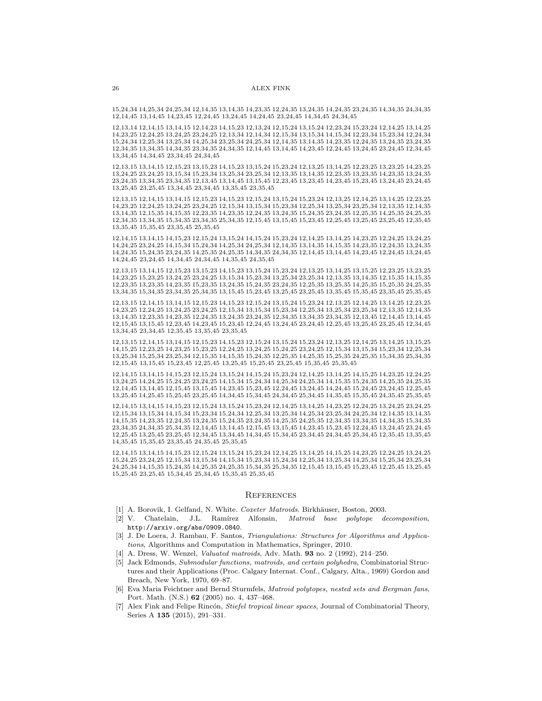15,24,34 14,25,34 24,25,34 12,14,35 13,14,35 14,23,35 12,24,35 13,24,35 14,24,35 23,24,35 14,34,35 24,34,35 12,14,45 13,14,45 14,23,45 12,24,45 13,24,45 14,24,45 23,24,45 14,34,45 24,34,45

12,13,14 12,14,15 13,14,15 12,14,23 14,15,23 12,13,24 12,15,24 13,15,24 12,23,24 15,23,24 12,14,25 13,14,25 14,23,25 12,24,25 13,24,25 23,24,25 12,13,34 12,14,34 12,15,34 13,15,34 14,15,34 12,23,34 15,23,34 12,24,34 15,24,34 12,25,34 13,25,34 14,25,34 23,25,34 24,25,34 12,14,35 13,14,35 14,23,35 12,24,35 13,24,35 23,24,35 12,34,35 13,34,35 14,34,35 23,34,35 24,34,35 12,14,45 13,14,45 14,23,45 12,24,45 13,24,45 23,24,45 12,34,45 13,34,45 14,34,45 23,34,45 24,34,45

12,13,15 13,14,15 12,15,23 13,15,23 14,15,23 13,15,24 15,23,24 12,13,25 13,14,25 12,23,25 13,23,25 14,23,25 13,24,25 23,24,25 13,15,34 15,23,34 13,25,34 23,25,34 12,13,35 13,14,35 12,23,35 13,23,35 14,23,35 13,24,35 23,24,35 13,34,35 23,34,35 12,13,45 13,14,45 13,15,45 12,23,45 13,23,45 14,23,45 15,23,45 13,24,45 23,24,45 13,25,45 23,25,45 13,34,45 23,34,45 13,35,45 23,35,45

12,13,15 12,14,15 13,14,15 12,15,23 14,15,23 12,15,24 13,15,24 15,23,24 12,13,25 12,14,25 13,14,25 12,23,25 14,23,25 12,24,25 13,24,25 23,24,25 12,15,34 13,15,34 15,23,34 12,25,34 13,25,34 23,25,34 12,13,35 12,14,35 13,14,35 12,15,35 14,15,35 12,23,35 14,23,35 12,24,35 13,24,35 15,24,35 23,24,35 12,25,35 14,25,35 24,25,35 12,34,35 13,34,35 15,34,35 23,34,35 25,34,35 12,15,45 13,15,45 15,23,45 12,25,45 13,25,45 23,25,45 12,35,45 13,35,45 15,35,45 23,35,45 25,35,45

12,14,15 13,14,15 14,15,23 12,15,24 13,15,24 14,15,24 15,23,24 12,14,25 13,14,25 14,23,25 12,24,25 13,24,25 14,24,25 23,24,25 14,15,34 15,24,34 14,25,34 24,25,34 12,14,35 13,14,35 14,15,35 14,23,35 12,24,35 13,24,35 14,24,35 15,24,35 23,24,35 14,25,35 24,25,35 14,34,35 24,34,35 12,14,45 13,14,45 14,23,45 12,24,45 13,24,45 14,24,45 23,24,45 14,34,45 24,34,45 14,35,45 24,35,45

12,13,15 13,14,15 12,15,23 13,15,23 14,15,23 13,15,24 15,23,24 12,13,25 13,14,25 13,15,25 12,23,25 13,23,25 14,23,25 15,23,25 13,24,25 23,24,25 13,15,34 15,23,34 13,25,34 23,25,34 12,13,35 13,14,35 12,15,35 14,15,35 12,23,35 13,23,35 14,23,35 15,23,35 13,24,35 15,24,35 23,24,35 12,25,35 13,25,35 14,25,35 15,25,35 24,25,35 13,34,35 15,34,35 23,34,35 25,34,35 13,15,45 15,23,45 13,25,45 23,25,45 13,35,45 15,35,45 23,35,45 25,35,45

12,13,15 12,14,15 13,14,15 12,15,23 14,15,23 12,15,24 13,15,24 15,23,24 12,13,25 12,14,25 13,14,25 12,23,25 14,23,25 12,24,25 13,24,25 23,24,25 12,15,34 13,15,34 15,23,34 12,25,34 13,25,34 23,25,34 12,13,35 12,14,35 13,14,35 12,23,35 14,23,35 12,24,35 13,24,35 23,24,35 12,34,35 13,34,35 23,34,35 12,13,45 12,14,45 13,14,45 12,15,45 13,15,45 12,23,45 14,23,45 15,23,45 12,24,45 13,24,45 23,24,45 12,25,45 13,25,45 23,25,45 12,34,45 13,34,45 23,34,45 12,35,45 13,35,45 23,35,45

12,13,15 12,14,15 13,14,15 12,15,23 14,15,23 12,15,24 13,15,24 15,23,24 12,13,25 12,14,25 13,14,25 13,15,25 14,15,25 12,23,25 14,23,25 15,23,25 12,24,25 13,24,25 15,24,25 23,24,25 12,15,34 13,15,34 15,23,34 12,25,34 13,25,34 15,25,34 23,25,34 12,15,35 14,15,35 15,24,35 12,25,35 14,25,35 15,25,35 24,25,35 15,34,35 25,34,35 12,15,45 13,15,45 15,23,45 12,25,45 13,25,45 15,25,45 23,25,45 15,35,45 25,35,45

12,14,15 13,14,15 14,15,23 12,15,24 13,15,24 14,15,24 15,23,24 12,14,25 13,14,25 14,15,25 14,23,25 12,24,25 13,24,25 14,24,25 15,24,25 23,24,25 14,15,34 15,24,34 14,25,34 24,25,34 14,15,35 15,24,35 14,25,35 24,25,35 12,14,45 13,14,45 12,15,45 13,15,45 14,23,45 15,23,45 12,24,45 13,24,45 14,24,45 15,24,45 23,24,45 12,25,45 13,25,45 14,25,45 15,25,45 23,25,45 14,34,45 15,34,45 24,34,45 25,34,45 14,35,45 15,35,45 24,35,45 25,35,45

12,14,15 13,14,15 14,15,23 12,15,24 13,15,24 15,23,24 12,14,25 13,14,25 14,23,25 12,24,25 13,24,25 23,24,25 12,15,34 13,15,34 14,15,34 15,23,34 15,24,34 12,25,34 13,25,34 14,25,34 23,25,34 24,25,34 12,14,35 13,14,35 14,15,35 14,23,35 12,24,35 13,24,35 15,24,35 23,24,35 14,25,35 24,25,35 12,34,35 13,34,35 14,34,35 15,34,35 23,34,35 24,34,35 25,34,35 12,14,45 13,14,45 12,15,45 13,15,45 14,23,45 15,23,45 12,24,45 13,24,45 23,24,45 12,25,45 13,25,45 23,25,45 12,34,45 13,34,45 14,34,45 15,34,45 23,34,45 24,34,45 25,34,45 12,35,45 13,35,45 14,35,45 15,35,45 23,35,45 24,35,45 25,35,45

12,14,15 13,14,15 14,15,23 12,15,24 13,15,24 15,23,24 12,14,25 13,14,25 14,15,25 14,23,25 12,24,25 13,24,25 15,24,25 23,24,25 12,15,34 13,15,34 14,15,34 15,23,34 15,24,34 12,25,34 13,25,34 14,25,34 15,25,34 23,25,34 24,25,34 14,15,35 15,24,35 14,25,35 24,25,35 15,34,35 25,34,35 12,15,45 13,15,45 15,23,45 12,25,45 13,25,45 15,25,45 23,25,45 15,34,45 25,34,45 15,35,45 25,35,45

### **REFERENCES**

- <span id="page-25-3"></span>[1] A. Borovik, I. Gelfand, N. White. Coxeter Matroids. Birkhäuser, Boston, 2003.
- <span id="page-25-4"></span>[2] V. Chatelain, J.L. Ramírez Alfonsin, *Matroid base polytope decomposition*, http://arxiv.org/abs/0909.0840.
- <span id="page-25-2"></span>[3] J. De Loera, J. Rambau, F. Santos, Triangulations: Structures for Algorithms and Applications, Algorithms and Computation in Mathematics, Springer, 2010.
- <span id="page-25-6"></span>[4] A. Dress, W. Wenzel, Valuated matroids, Adv. Math. 93 no. 2 (1992), 214–250.
- <span id="page-25-0"></span>[5] Jack Edmonds, Submodular functions, matroids, and certain polyhedra, Combinatorial Structures and their Applications (Proc. Calgary Internat. Conf., Calgary, Alta., 1969) Gordon and Breach, New York, 1970, 69–87.
- <span id="page-25-1"></span>[6] Eva Maria Feichtner and Bernd Sturmfels, Matroid polytopes, nested sets and Bergman fans, Port. Math. (N.S.) 62 (2005) no. 4, 437–468.
- <span id="page-25-5"></span>[7] Alex Fink and Felipe Rincón, Stiefel tropical linear spaces, Journal of Combinatorial Theory, Series A 135 (2015), 291–331.